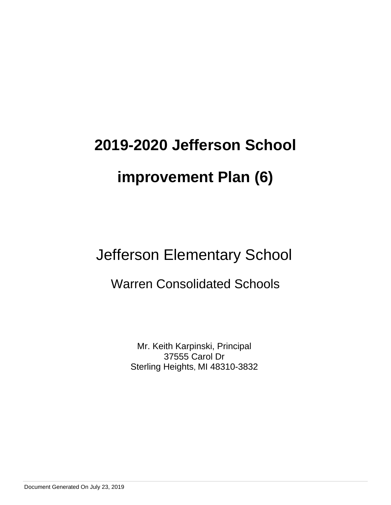# Jefferson Elementary School

# Warren Consolidated Schools

Mr. Keith Karpinski, Principal 37555 Carol Dr Sterling Heights, MI 48310-3832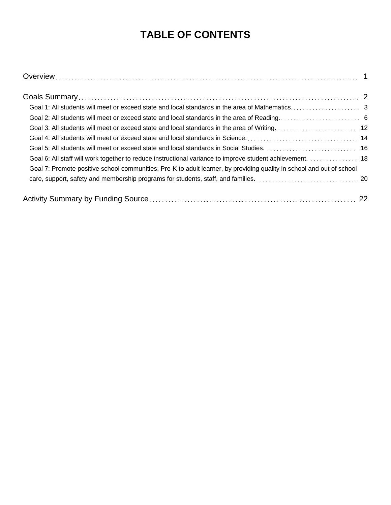## **TABLE OF CONTENTS**

| Goal 5: All students will meet or exceed state and local standards in Social Studies.  16                             |  |
|-----------------------------------------------------------------------------------------------------------------------|--|
| Goal 6: All staff will work together to reduce instructional variance to improve student achievement. 18              |  |
| Goal 7: Promote positive school communities, Pre-K to adult learner, by providing quality in school and out of school |  |
|                                                                                                                       |  |
|                                                                                                                       |  |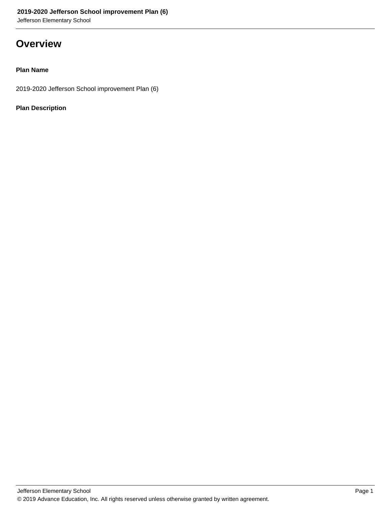Jefferson Elementary School

### **Overview**

### **Plan Name**

2019-2020 Jefferson School improvement Plan (6)

### **Plan Description**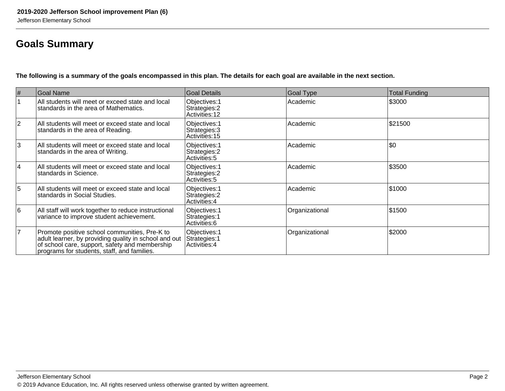### **Goals Summary**

**The following is a summary of the goals encompassed in this plan. The details for each goal are available in the next section.**

| #              | Goal Name                                                                                                                                                                                               | Goal Details                                           | Goal Type      | <b>Total Funding</b> |
|----------------|---------------------------------------------------------------------------------------------------------------------------------------------------------------------------------------------------------|--------------------------------------------------------|----------------|----------------------|
|                | All students will meet or exceed state and local<br>standards in the area of Mathematics.                                                                                                               | Objectives: 1<br>Strategies: 2<br>Activities: 12       | Academic       | \$3000               |
| $ 2\rangle$    | All students will meet or exceed state and local<br>standards in the area of Reading.                                                                                                                   | Objectives: 1<br>Strategies: 3<br>Activities: 15       | Academic       | \$21500              |
| 3              | All students will meet or exceed state and local<br>standards in the area of Writing.                                                                                                                   | Objectives: 1<br>Strategies: 2<br>Activities: 5        | Academic       | \$0                  |
| 4              | All students will meet or exceed state and local<br>standards in Science.                                                                                                                               | Objectives: 1<br>Strategies: 2<br>Activities: 5        | Academic       | \$3500               |
| 5              | All students will meet or exceed state and local<br>Istandards in Social Studies.                                                                                                                       | Objectives: 1<br>Strategies: 2<br><b>Activities: 4</b> | Academic       | \$1000               |
| 6              | All staff will work together to reduce instructional<br>variance to improve student achievement.                                                                                                        | Objectives: 1<br>Strategies: 1<br>Activities: 6        | Organizational | \$1500               |
| $\overline{7}$ | Promote positive school communities, Pre-K to<br>adult learner, by providing quality in school and out<br>of school care, support, safety and membership<br>programs for students, staff, and families. | Objectives: 1<br>Strategies: 1<br>Activities: 4        | Organizational | \$2000               |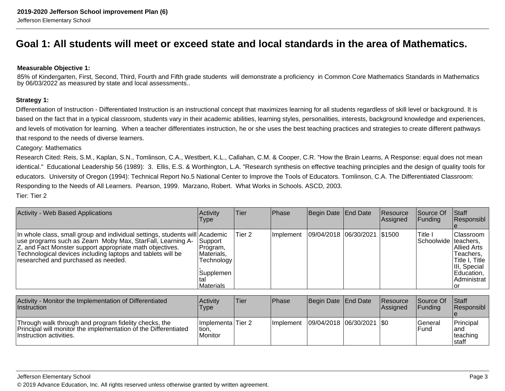### **Goal 1: All students will meet or exceed state and local standards in the area of Mathematics.**

### **Measurable Objective 1:**

85% of Kindergarten, First, Second, Third, Fourth and Fifth grade students will demonstrate a proficiency in Common Core Mathematics Standards in Mathematicsby 06/03/2022 as measured by state and local assessments..

### **Strategy 1:**

Differentiation of Instruction - Differentiated Instruction is an instructional concept that maximizes learning for all students regardless of skill level or background. It isbased on the fact that in a typical classroom, students vary in their academic abilities, learning styles, personalities, interests, background knowledge and experiences,and levels of motivation for learning. When a teacher differentiates instruction, he or she uses the best teaching practices and strategies to create different pathwaysthat respond to the needs of diverse learners.

Category: Mathematics

Research Cited: Reis, S.M., Kaplan, S.N., Tomlinson, C.A., Westbert, K.L., Callahan, C.M. & Cooper, C.R. "How the Brain Learns, A Response: equal does not mean identical." Educational Leadership 56 (1989): 3. Ellis, E.S. & Worthington, L.A. "Research synthesis on effective teaching principles and the design of quality tools foreducators. University of Oregon (1994): Technical Report No.5 National Center to Improve the Tools of Educators. Tomlinson, C.A. The Differentiated Classroom:Responding to the Needs of All Learners. Pearson, 1999. Marzano, Robert. What Works in Schools. ASCD, 2003.Tier: Tier 2

| <b>Activity - Web Based Applications</b>                                                                                                                                                                                                                                                                    | Activity<br>Type                                                                 | Tier              | Phase     | Begin Date            | End Date   | Resource<br> Assigned | Source Of<br><b>Funding</b> | Staff<br>Responsibl                                                                                                                     |
|-------------------------------------------------------------------------------------------------------------------------------------------------------------------------------------------------------------------------------------------------------------------------------------------------------------|----------------------------------------------------------------------------------|-------------------|-----------|-----------------------|------------|-----------------------|-----------------------------|-----------------------------------------------------------------------------------------------------------------------------------------|
| In whole class, small group and individual settings, students will Academic<br>use programs such as Zearn Moby Max, StarFall, Learning A-<br>Z, and Fact Monster support appropriate math objectives.<br>Technological devices including laptops and tablets will be<br>researched and purchased as needed. | Support<br>Program,<br>Materials,<br>Technology<br>Supplemen<br>tal<br>Materials | Tier <sub>2</sub> | Implement | 09/04/2018 06/30/2021 |            | \$1500                | Title I<br> Schoolwide      | <b>Classroom</b><br>Iteachers.<br><b>Allied Arts</b><br>Teachers,<br>Title I, Title<br>III, Special<br>Education,<br>Administrat<br>lor |
| Activity - Monitor the Implementation of Differentiated<br>Instruction                                                                                                                                                                                                                                      | Activity<br>Type                                                                 | Tier              | Phase     | Begin Date End Date   |            | Resource<br> Assigned | Source Of<br>Funding        | Staff<br>Responsibl                                                                                                                     |
| Through walk through and program fidelity checks, the<br>Principal will monitor the implementation of the Differentiated<br>Instruction activities.                                                                                                                                                         | Implementa Tier 2<br>tion,<br>Monitor                                            |                   | Implement | 09/04/2018            | 06/30/2021 | <b>SO</b>             | General<br>Fund             | Principal<br>land<br>teaching<br>Istaff                                                                                                 |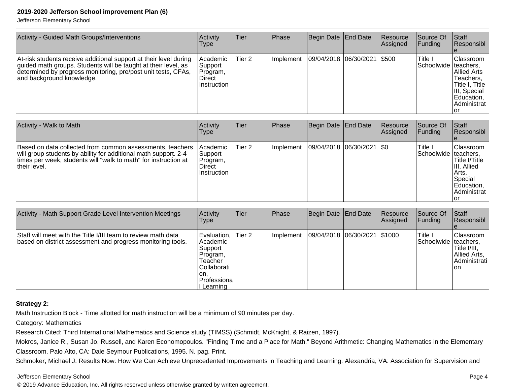Jefferson Elementary School

| Activity - Guided Math Groups/Interventions                                                                                                                                                                                       | Activity<br><b>Type</b>                                          | <b>Tier</b> | Phase     | Begin Date End Date         | Resource<br> Assigned | lSource Of<br> Funding            | Staff<br>Responsibl                                                                                          |
|-----------------------------------------------------------------------------------------------------------------------------------------------------------------------------------------------------------------------------------|------------------------------------------------------------------|-------------|-----------|-----------------------------|-----------------------|-----------------------------------|--------------------------------------------------------------------------------------------------------------|
| At-risk students receive additional support at their level during<br>guided math groups. Students will be taught at their level, as<br>determined by progress monitoring, pre/post unit tests, CFAs,<br>and background knowledge. | Academic<br> Support<br>Program,<br>Direct<br><b>Instruction</b> | Tier 2      | Implement | 09/04/2018 06/30/2021 \$500 |                       | Title I<br>Schoolwide   teachers, | Classroom<br>IAllied Arts<br>Teachers,<br>Title I, Title<br>III, Special<br>Education,<br>Administrat<br>.or |

| Activity - Walk to Math                                                                                                                                                                                         | Activity<br>Type                                            | Tier   | <b>Phase</b> | Begin Date End Date           | Resource<br>Assigned | Source Of<br><b>Funding</b>       | <b>Staff</b><br>Responsibl                                                                          |
|-----------------------------------------------------------------------------------------------------------------------------------------------------------------------------------------------------------------|-------------------------------------------------------------|--------|--------------|-------------------------------|----------------------|-----------------------------------|-----------------------------------------------------------------------------------------------------|
| Based on data collected from common assessments, teachers<br>will group students by ability for additional math support. 2-4<br>times per week, students will "walk to math" for instruction at<br>their level. | Academic <br> Support<br>Program,<br>∣Direct<br>Instruction | Tier 2 | Ilmplement   | $ 09/04/2018 06/30/2021 $ \$0 |                      | Title I<br>Schoolwide   teachers, | Classroom<br>Title I/Title<br>III, Allied<br> Arts.<br>Special<br>Education,<br>Administrat<br>l Ol |

| Activity - Math Support Grade Level Intervention Meetings                                                                    | Activity<br>Type                                                                                                  | Tier   | <b>Phase</b>      | Begin Date End Date          | <b>Resource</b><br>Assigned | Source Of<br><b>Funding</b>       | <b>Staff</b><br>Responsibl                                          |
|------------------------------------------------------------------------------------------------------------------------------|-------------------------------------------------------------------------------------------------------------------|--------|-------------------|------------------------------|-----------------------------|-----------------------------------|---------------------------------------------------------------------|
| Staff will meet with the Title I/III team to review math data<br>based on district assessment and progress monitoring tools. | Evaluation,<br>l Academic<br> Support<br>Program,<br>Teacher<br>lCollaborati<br>'on.<br>Professiona<br>l Learning | Tier 2 | <b>Ilmplement</b> | 09/04/2018 06/30/2021 \$1000 |                             | Title I<br>ISchoolwide Iteachers. | lClassroom<br>Title I/III.<br> Allied Arts.<br>Administrati<br>lon. |

### **Strategy 2:**

Math Instruction Block - Time allotted for math instruction will be a minimum of 90 minutes per day.

Category: Mathematics

Research Cited: Third International Mathematics and Science study (TIMSS) (Schmidt, McKnight, & Raizen, 1997).

Mokros, Janice R., Susan Jo. Russell, and Karen Economopoulos. "Finding Time and a Place for Math." Beyond Arithmetic: Changing Mathematics in the ElementaryClassroom. Palo Alto, CA: Dale Seymour Publications, 1995. N. pag. Print.

Schmoker, Michael J. Results Now: How We Can Achieve Unprecedented Improvements in Teaching and Learning. Alexandria, VA: Association for Supervision and

Jefferson Elementary School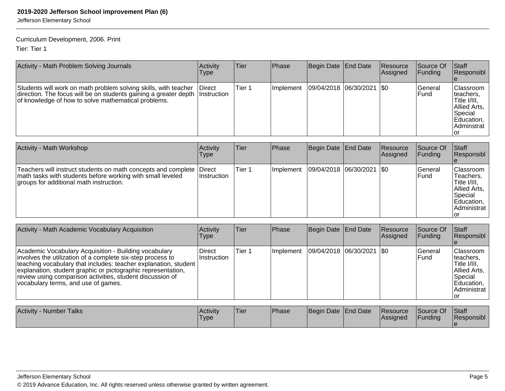Jefferson Elementary School

### Curriculum Development, 2006. Print

Tier: Tier 1

| Activity - Math Problem Solving Journals                                                                                                                                                               | Activity<br>Type | lTier. | <b>Phase</b> | Begin Date   End Date |                               | <b>IResource</b><br><b>Assigned</b> | Source Of<br><b>Funding</b> | <b>Staff</b><br>Responsibl                                                                                    |
|--------------------------------------------------------------------------------------------------------------------------------------------------------------------------------------------------------|------------------|--------|--------------|-----------------------|-------------------------------|-------------------------------------|-----------------------------|---------------------------------------------------------------------------------------------------------------|
| Students will work on math problem solving skills, with teacher<br>direction. The focus will be on students gaining a greater depth Instruction<br>of knowledge of how to solve mathematical problems. | <b>IDirect</b>   | Tier 1 | ⊥Implement   |                       | $ 09/04/2018 06/30/2021 $ \$0 |                                     | lGeneral<br>lFund           | Classroom<br>Iteachers,<br>Title I/III,<br>Allied Arts,<br><b>S</b> pecial<br>Education,<br>Adminstrat<br>Tor |

| <b>Activity - Math Workshop</b>                                                                                                                                               | Activity<br><b>Type</b> | Tier   | <b>Phase</b>     | Begin Date End Date |                               | Resource<br>Assigned | Source Of<br>IFundina l         | <b>Staff</b><br>Responsibl                                                                             |
|-------------------------------------------------------------------------------------------------------------------------------------------------------------------------------|-------------------------|--------|------------------|---------------------|-------------------------------|----------------------|---------------------------------|--------------------------------------------------------------------------------------------------------|
| Teachers will instruct students on math concepts and complete Direct<br>math tasks with students before working with small leveled<br>groups for additional math instruction. | ⊺Instruction            | Tier 1 | <b>Implement</b> |                     | $ 09/04/2018 06/30/2021 $ \$0 |                      | <b>IGeneral</b><br><b>IFund</b> | Classroom<br>Teachers,<br>Title I/III.<br>Allied Arts,<br> Special<br>Education,<br>Administrat<br>Tor |

| Activity - Math Academic Vocabulary Acquisition                                                                                                                                                                                                                                                                                                               | Activity<br>Type        | Tier        | Phase     | Begin Date End Date                                                                                                                     |                               | <b>Resource</b><br>Assigned | Source Of<br>Funding | <b>Staff</b><br>Responsibl                                                                                         |
|---------------------------------------------------------------------------------------------------------------------------------------------------------------------------------------------------------------------------------------------------------------------------------------------------------------------------------------------------------------|-------------------------|-------------|-----------|-----------------------------------------------------------------------------------------------------------------------------------------|-------------------------------|-----------------------------|----------------------|--------------------------------------------------------------------------------------------------------------------|
| Academic Vocabulary Acquisition - Building vocabulary<br>involves the utilization of a complete six-step process to<br> teaching vocabulary that includes: teacher explanation, student  <br>explanation, student graphic or pictographic representation,<br>review using comparison activities, student discussion of<br>vocabulary terms, and use of games. | Direct<br>∣Instruction  | Tier 1      | Implement |                                                                                                                                         | $ 09/04/2018 06/30/2021 $ \$0 |                             | General<br>lFund     | <b>Classroom</b><br>lteachers.<br> Title I/III,<br>Allied Arts,<br> Special<br>Education,<br>l Administrat<br>Tor. |
| $\Lambda$ with the contraction $\mathbf{T}$ with $\mathbf{r}$                                                                                                                                                                                                                                                                                                 | $\Lambda$ and $\Lambda$ | المحافظة ال | $IDL = -$ | $\overline{\mathsf{D}}$ and $\overline{\mathsf{D}}$ and $\overline{\mathsf{D}}$ and $\overline{\mathsf{D}}$ and $\overline{\mathsf{D}}$ |                               |                             | $\overline{R}$       |                                                                                                                    |

| Activity<br>- Number Talks | <b>Activity</b><br><b>Type</b> | <sup>I</sup> Tier | <b>Phase</b> | Begin Date End Date | <b>Resource</b><br><b>Assigned</b> | Source Of<br><b>IFunding</b> | Staff<br><b>Responsibl</b> |
|----------------------------|--------------------------------|-------------------|--------------|---------------------|------------------------------------|------------------------------|----------------------------|
|                            |                                |                   |              |                     |                                    |                              |                            |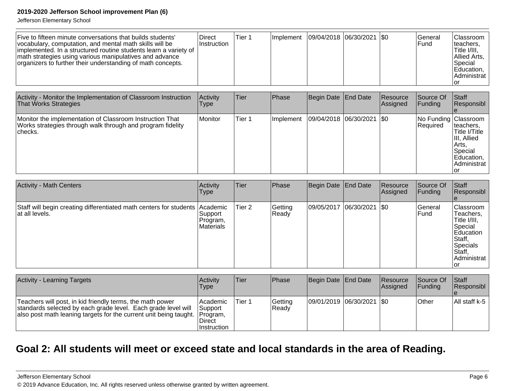Jefferson Elementary School

| Five to fifteen minute conversations that builds students'<br>vocabulary, computation, and mental math skills will be<br>implemented. In a structured routine students learn a variety of<br>math strategies using various manipulatives and advance<br>organizers to further their understanding of math concepts. | <b>Direct</b><br>∣Instruction | Tier 1 | Ilmplement | 09/04/2018  06/30/2021  \$0 |  |  | l General<br>IFund. | <b>IClassroom</b><br>Iteachers.<br>Title I/III.<br>Allied Arts,<br>lSpecial<br>Education,<br>IAdministrat<br>lor |
|---------------------------------------------------------------------------------------------------------------------------------------------------------------------------------------------------------------------------------------------------------------------------------------------------------------------|-------------------------------|--------|------------|-----------------------------|--|--|---------------------|------------------------------------------------------------------------------------------------------------------|
|---------------------------------------------------------------------------------------------------------------------------------------------------------------------------------------------------------------------------------------------------------------------------------------------------------------------|-------------------------------|--------|------------|-----------------------------|--|--|---------------------|------------------------------------------------------------------------------------------------------------------|

| Activity - Monitor the Implementation of Classroom Instruction<br><b>That Works Strategies</b>                                    | Activity<br>Type | Tier   | <b>Phase</b>      | Begin Date   End Date |                             | Resource<br>Assigned | Source Of<br><b>IFundina</b>      | <b>Staff</b><br> Responsibl                                                                  |
|-----------------------------------------------------------------------------------------------------------------------------------|------------------|--------|-------------------|-----------------------|-----------------------------|----------------------|-----------------------------------|----------------------------------------------------------------------------------------------|
| Monitor the implementation of Classroom Instruction That<br>Works strategies through walk through and program fidelity<br>checks. | Monitor          | Tier 1 | <b>Ilmplement</b> |                       | 09/04/2018 06/30/2021   \$0 |                      | No Funding Classroom<br> Required | Iteachers.<br>Title I/Title<br>III, Allied<br>Arts.<br> Special<br>Education,<br>Administrat |

| <b>Activity - Math Centers</b>                                                                 | Activity<br> Type                 | Tier   | Phase            | Begin Date End Date         | Resource<br>Assigned | Source Of<br><b>Funding</b> | Staff<br>Responsibl                                                                                                         |
|------------------------------------------------------------------------------------------------|-----------------------------------|--------|------------------|-----------------------------|----------------------|-----------------------------|-----------------------------------------------------------------------------------------------------------------------------|
| Staff will begin creating differentiated math centers for students Academic<br>lat all levels. | Support_<br>Program,<br>Materials | Tier 2 | Getting<br>Ready | 09/05/2017 06/30/2021   \$0 |                      | <b>General</b><br>lFund     | <b>Classroom</b><br>Teachers.<br>Title I/III,<br>Special<br>Education<br>Staff,<br>Specials<br>Staff,<br>Administrat<br>Tor |

| <b>Activity - Learning Targets</b>                                                                                                                                                                       | Activitv<br>Type                                           | lTier: | <b>IPhase</b>    | Begin Date End Date         | <b>Resource</b><br><b>Assigned</b> | <b>Source Of</b><br>IFundina | <b>Staff</b><br><b>Responsibl</b> |
|----------------------------------------------------------------------------------------------------------------------------------------------------------------------------------------------------------|------------------------------------------------------------|--------|------------------|-----------------------------|------------------------------------|------------------------------|-----------------------------------|
| Teachers will post, in kid friendly terms, the math power<br>standards selected by each grade level. Each grade level will<br>also post math leaning targets for the current unit being taught. Program, | Academic<br><b>Support</b><br>Direct<br><b>Instruction</b> | Tier 1 | Getting<br>Ready | 09/01/2019 06/30/2021   \$0 |                                    | <b>Other</b>                 | All staff k-5                     |

### **Goal 2: All students will meet or exceed state and local standards in the area of Reading.**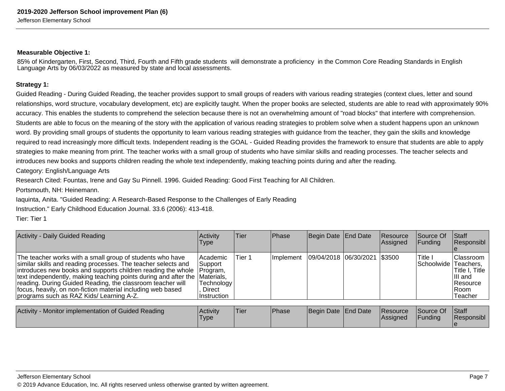### **Measurable Objective 1:**

85% of Kindergarten, First, Second, Third, Fourth and Fifth grade students will demonstrate a proficiency in the Common Core Reading Standards in EnglishLanguage Arts by 06/03/2022 as measured by state and local assessments.

#### **Strategy 1:**

Guided Reading - During Guided Reading, the teacher provides support to small groups of readers with various reading strategies (context clues, letter and soundrelationships, word structure, vocabulary development, etc) are explicitly taught. When the proper books are selected, students are able to read with approximately 90% accuracy. This enables the students to comprehend the selection because there is not an overwhelming amount of "road blocks" that interfere with comprehension.Students are able to focus on the meaning of the story with the application of various reading strategies to problem solve when a student happens upon an unknownword. By providing small groups of students the opportunity to learn various reading strategies with guidance from the teacher, they gain the skills and knowledgerequired to read increasingly more difficult texts. Independent reading is the GOAL - Guided Reading provides the framework to ensure that students are able to applystrategies to make meaning from print. The teacher works with a small group of students who have similar skills and reading processes. The teacher selects andintroduces new books and supports children reading the whole text independently, making teaching points during and after the reading.

Category: English/Language Arts

Research Cited: Fountas, Irene and Gay Su Pinnell. 1996. Guided Reading: Good First Teaching for All Children.

Portsmouth, NH: Heinemann.

Iaquinta, Anita. "Guided Reading: A Research-Based Response to the Challenges of Early Reading

Instruction." Early Childhood Education Journal. 33.6 (2006): 413-418.

Tier: Tier 1

| <b>Activity - Daily Guided Reading</b>                                                                                                                                                                                                                                                                                                                                                                                                                       | Activity<br>Type                                               | Tier   | <b>Phase</b> | Begin Date End Date          | Resource<br>Assigned | Source Of<br><b>IFunding</b>     | Staff<br>Responsibl                                                                          |
|--------------------------------------------------------------------------------------------------------------------------------------------------------------------------------------------------------------------------------------------------------------------------------------------------------------------------------------------------------------------------------------------------------------------------------------------------------------|----------------------------------------------------------------|--------|--------------|------------------------------|----------------------|----------------------------------|----------------------------------------------------------------------------------------------|
| The teacher works with a small group of students who have<br>similar skills and reading processes. The teacher selects and<br>introduces new books and supports children reading the whole   Program,<br>text independently, making teaching points during and after the Materials,<br>reading. During Guided Reading, the classroom teacher will<br>focus, heavily, on non-fiction material including web based<br>programs such as RAZ Kids/ Learning A-Z. | Academic<br> Support<br> Technology  <br>Direct<br>Instruction | Tier 1 | Ilmplement   | 09/04/2018 06/30/2021 \$3500 |                      | 'Title I<br>Schoolwide Teachers, | <b>Classroom</b><br>Title I, Title<br>IIII and<br><b>Resource</b><br><b>IRoom</b><br>Teacher |

| <b>Activity</b><br>v - Monitor implementation of Guided Reading | l Activitv<br><b>Type</b> | 'Tier | <b>IPhase</b> | Begin Date End Date |  | <b>Resource</b><br><b>IAssigned</b> | Source Of<br>Funding | <b>Staff</b><br>Responsibl |
|-----------------------------------------------------------------|---------------------------|-------|---------------|---------------------|--|-------------------------------------|----------------------|----------------------------|
|-----------------------------------------------------------------|---------------------------|-------|---------------|---------------------|--|-------------------------------------|----------------------|----------------------------|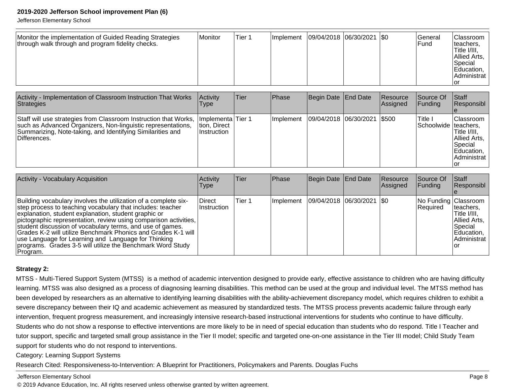Jefferson Elementary School

| Monitor the implementation of Guided Reading Strategies<br>through walk through and program fidelity checks. | Monitor | Tier 1 | <b>Ilmplement</b> | $ 09/04/2018 06/30/2021 $ \$0 |  |  | lGeneral<br>lFund | <b>Classroom</b><br>teachers,<br>Title I/III,<br>Allied Arts,<br> Special<br>Education,<br>Administrat<br>Tor |
|--------------------------------------------------------------------------------------------------------------|---------|--------|-------------------|-------------------------------|--|--|-------------------|---------------------------------------------------------------------------------------------------------------|
|--------------------------------------------------------------------------------------------------------------|---------|--------|-------------------|-------------------------------|--|--|-------------------|---------------------------------------------------------------------------------------------------------------|

| Activity - Implementation of Classroom Instruction That Works<br>Strategies                                                                                                                                     | Activity<br>Type                                   | ∣Tier | Phase      | Begin Date End Date |                               | Resource<br>Assigned | Source Of<br>IFundina             | <b>Staff</b><br><b>Responsibl</b>                                                                 |
|-----------------------------------------------------------------------------------------------------------------------------------------------------------------------------------------------------------------|----------------------------------------------------|-------|------------|---------------------|-------------------------------|----------------------|-----------------------------------|---------------------------------------------------------------------------------------------------|
| Staff will use strategies from Classroom Instruction that Works,<br>such as Advanced Organizers, Non-linguistic representations,<br>Summarizing, Note-taking, and Identifying Similarities and<br>⊺Differences. | Ilmplementa Tier 1<br>tion, Direct<br>!Instruction |       | Ilmplement |                     | 09/04/2018 06/30/2021   \$500 |                      | Title I<br>Schoolwide   teachers, | <b>IClassroom</b><br>Title I/III.<br>Allied Arts,<br><b>S</b> pecial<br>Education,<br>Administrat |

| <b>Activity - Vocabulary Acquisition</b>                                                                                                                                                                                                                                                                                                                                                                                                                                                                                 | Activity<br><b>Type</b> | Tier   | Phase                                     | Begin Date End Date | Resource<br>Assigned | Source Of<br><b>IFunding</b>       | <b>Staff</b><br>Responsibl                                                                  |
|--------------------------------------------------------------------------------------------------------------------------------------------------------------------------------------------------------------------------------------------------------------------------------------------------------------------------------------------------------------------------------------------------------------------------------------------------------------------------------------------------------------------------|-------------------------|--------|-------------------------------------------|---------------------|----------------------|------------------------------------|---------------------------------------------------------------------------------------------|
| Building vocabulary involves the utilization of a complete six-<br>step process to teaching vocabulary that includes: teacher<br>explanation, student explanation, student graphic or<br>pictographic representation, review using comparison activities,<br>student discussion of vocabulary terms, and use of games.<br>Grades K-2 will utilize Benchmark Phonics and Grades K-1 will<br>use Language for Learning and Language for Thinking<br>programs. Grades 3-5 will utilize the Benchmark Word Study<br>Program. | Direct<br>Instruction   | Tier 1 | Implement   09/04/2018   06/30/2021   \$0 |                     |                      | No Funding Classroom<br>l Reauired | Iteachers,<br>Title I/III,<br>Allied Arts,<br>l Special<br>Education,<br>Administrat<br>Tor |

### **Strategy 2:**

MTSS - Multi-Tiered Support System (MTSS) is a method of academic intervention designed to provide early, effective assistance to children who are having difficultylearning. MTSS was also designed as a process of diagnosing learning disabilities. This method can be used at the group and individual level. The MTSS method hasbeen developed by researchers as an alternative to identifying learning disabilities with the ability-achievement discrepancy model, which requires children to exhibit asevere discrepancy between their IQ and academic achievement as measured by standardized tests. The MTSS process prevents academic failure through earlyintervention, frequent progress measurement, and increasingly intensive research-based instructional interventions for students who continue to have difficulty.Students who do not show a response to effective interventions are more likely to be in need of special education than students who do respond. Title I Teacher and tutor support, specific and targeted small group assistance in the Tier II model; specific and targeted one-on-one assistance in the Tier III model; Child Study Teamsupport for students who do not respond to interventions.

Category: Learning Support Systems

Research Cited: Responsiveness-to-Intervention: A Blueprint for Practitioners, Policymakers and Parents. Douglas Fuchs

Jefferson Elementary School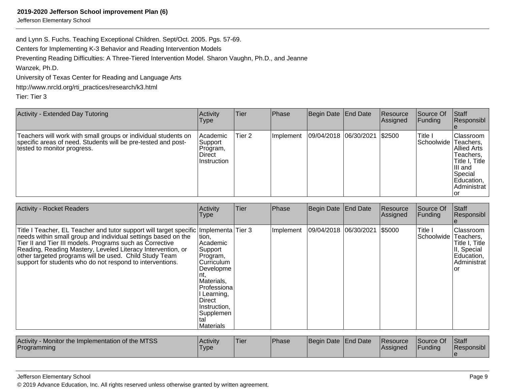Jefferson Elementary School

and Lynn S. Fuchs. Teaching Exceptional Children. Sept/Oct. 2005. Pgs. 57-69.

Centers for Implementing K-3 Behavior and Reading Intervention Models

Preventing Reading Difficulties: A Three-Tiered Intervention Model. Sharon Vaughn, Ph.D., and Jeanne

Wanzek, Ph.D.

University of Texas Center for Reading and Language Arts

http://www.nrcld.org/rti\_practices/research/k3.html

Tier: Tier 3

| <b>Activity - Extended Day Tutoring</b>                                                                                                                        | Activity<br>Type                                                  | Tier   | <b>Phase</b> | Begin Date   End Date | Resource<br>Assigned | lSource Of<br> Funding          | Staff<br>Responsibl                                                                                            |
|----------------------------------------------------------------------------------------------------------------------------------------------------------------|-------------------------------------------------------------------|--------|--------------|-----------------------|----------------------|---------------------------------|----------------------------------------------------------------------------------------------------------------|
| Teachers will work with small groups or individual students on<br>specific areas of need. Students will be pre-tested and post-<br>tested to monitor progress. | l Academic<br>Support<br>Program,<br><b>Direct</b><br>Instruction | Tier 2 | Implement    | 09/04/2018 06/30/2021 | 1\$2500              | Title I<br>Schoolwide Teachers, | Classroom<br>IAllied Arts<br>Teachers,<br>Title I, Title<br>IIII and<br>Special<br>Education,  <br>Administrat |

| <b>Activity - Rocket Readers</b>                                                                                                                                                                                                                                                                                                                                                                        | Activity<br>Type                                                                                                                                                                               | Tier | Phase     | Begin Date End Date   | Resource<br>Assigned | Source Of<br>Funding  | Staff<br>Responsibl                                                                          |
|---------------------------------------------------------------------------------------------------------------------------------------------------------------------------------------------------------------------------------------------------------------------------------------------------------------------------------------------------------------------------------------------------------|------------------------------------------------------------------------------------------------------------------------------------------------------------------------------------------------|------|-----------|-----------------------|----------------------|-----------------------|----------------------------------------------------------------------------------------------|
| Title I Teacher, EL Teacher and tutor support will target specific Implementa Tier 3<br>needs within small group and individual settings based on the<br>Tier II and Tier III models. Programs such as Corrective<br>Reading, Reading Mastery, Leveled Literacy Intervention, or<br>other targeted programs will be used. Child Study Team<br>support for students who do not respond to interventions. | ∣tion,<br> Academic <br>Support<br>Program,<br>lCurriculum<br>Developme<br>nt.<br>Materials,<br> Professiona <br>Learning,<br><b>Direct</b><br>Instruction.<br> Supplemen<br>Ital<br>Materials |      | Implement | 09/04/2018 06/30/2021 | \$5000               | Title I<br>Schoolwide | IClassroom<br>Teachers,<br>Title I, Title<br>II, Special<br>Education,<br>Administrat<br>lor |
| Activity - Monitor the Implementation of the MTSS<br>Programming                                                                                                                                                                                                                                                                                                                                        | Activity<br>Type                                                                                                                                                                               | Tier | Phase     | Begin Date End Date   | Resource<br>Assigned | Source Of<br>Funding  | Staff<br>Responsibl                                                                          |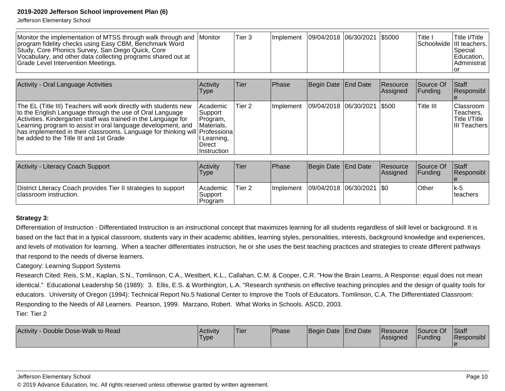Jefferson Elementary School

| Activity - Oral Language Activities                                                                                                                                                                                                                                                                                                                                                       | Activity<br>Type                                                                                               | <b>Tier</b> | Phase     | Begin Date   End Date         | Resource<br>Assigned | Source Of<br> Funding | <b>Staff</b><br>Responsibl                                     |
|-------------------------------------------------------------------------------------------------------------------------------------------------------------------------------------------------------------------------------------------------------------------------------------------------------------------------------------------------------------------------------------------|----------------------------------------------------------------------------------------------------------------|-------------|-----------|-------------------------------|----------------------|-----------------------|----------------------------------------------------------------|
| The EL (Title III) Teachers will work directly with students new<br>to the English Language through the use of Oral Language<br>Activities. Kindergarten staff was trained in the Language for<br>Learning program to assist in oral language development, and<br>has implemented in their classrooms. Language for thinking will Professiona<br>Ibe added to the Title III and 1st Grade | Academic<br> Support <br>Program,<br><i><b>IMaterials.</b></i><br>I Learning,<br><b>Direct</b><br>∣Instruction | Tier 2      | Implement | 09/04/2018  06/30/2021  \$500 |                      | Title III             | <b>Classroom</b><br>Teachers,<br>Title I/Title<br>III Teachers |

| Activity - Literacy Coach Support                                                         | Activity<br>'Type                        | 'Tier             | <b>Phase</b> | Begin Date End Date         | <b>Resource</b><br><b>Assigned</b> | <b>Source Of</b><br><b>IFundina</b> | <b>Staff</b><br><b>Responsibl</b> |
|-------------------------------------------------------------------------------------------|------------------------------------------|-------------------|--------------|-----------------------------|------------------------------------|-------------------------------------|-----------------------------------|
| District Literacy Coach provides Tier II strategies to support<br>⊺classroom instruction. | <b>Academic</b><br>lSupport i<br>Program | Tier <sub>2</sub> | Ilmplement   | 09/04/2018  06/30/2021  \$0 |                                    | <b>Other</b>                        | lk-5<br>Iteachers                 |

### **Strategy 3:**

Differentiation of Instruction - Differentiated Instruction is an instructional concept that maximizes learning for all students regardless of skill level or background. It isbased on the fact that in a typical classroom, students vary in their academic abilities, learning styles, personalities, interests, background knowledge and experiences, and levels of motivation for learning. When a teacher differentiates instruction, he or she uses the best teaching practices and strategies to create different pathwaysthat respond to the needs of diverse learners.

### Category: Learning Support Systems

Research Cited: Reis, S.M., Kaplan, S.N., Tomlinson, C.A., Westbert, K.L., Callahan, C.M. & Cooper, C.R. "How the Brain Learns, A Response: equal does not mean identical." Educational Leadership 56 (1989): 3. Ellis, E.S. & Worthington, L.A. "Research synthesis on effective teaching principles and the design of quality tools foreducators. University of Oregon (1994): Technical Report No.5 National Center to Improve the Tools of Educators. Tomlinson, C.A. The Differentiated Classroom:Responding to the Needs of All Learners. Pearson, 1999. Marzano, Robert. What Works in Schools. ASCD, 2003.Tier: Tier 2

| Activity -<br>- Double Dose-Walk to Read | <b>Activity</b><br><b>Type</b> | 'Tier | <b>Phase</b> | Begin Date End Date |  | <b>Resource</b><br><b>Assigned</b> | Source Of<br>Funding | Staff<br>Responsibl |
|------------------------------------------|--------------------------------|-------|--------------|---------------------|--|------------------------------------|----------------------|---------------------|
|------------------------------------------|--------------------------------|-------|--------------|---------------------|--|------------------------------------|----------------------|---------------------|

#### Jefferson Elementary School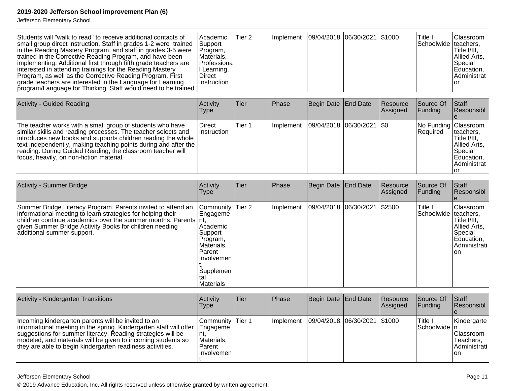Jefferson Elementary School

| Students will "walk to read" to receive additional contacts of<br>small group direct instruction. Staff in grades 1-2 were trained<br>in the Reading Mastery Program, and staff in grades 3-5 were<br>trained in the Corrective Reading Program, and have been<br>implementing. Additional first through fifth grade teachers are<br>interested in attending trainings for the Reading Mastery<br>Program, as well as the Corrective Reading Program. First<br>grade teachers are interested in the Language for Learning<br>program/Language for Thinking. Staff would need to be trained. | Academic<br>Support<br>Program,<br>Materials,<br>Professiona<br>I Learning,<br><b>Direct</b><br>Instruction                                    | Tier <sub>2</sub> |           | Implement   09/04/2018   06/30/2021   \$1000 |                 |                      | Title I<br>Schoolwide teachers, | Classroom<br>Title I/III.<br>Allied Arts,<br>Special<br>Education,<br>Administrat<br>or                     |
|---------------------------------------------------------------------------------------------------------------------------------------------------------------------------------------------------------------------------------------------------------------------------------------------------------------------------------------------------------------------------------------------------------------------------------------------------------------------------------------------------------------------------------------------------------------------------------------------|------------------------------------------------------------------------------------------------------------------------------------------------|-------------------|-----------|----------------------------------------------|-----------------|----------------------|---------------------------------|-------------------------------------------------------------------------------------------------------------|
| <b>Activity - Guided Reading</b>                                                                                                                                                                                                                                                                                                                                                                                                                                                                                                                                                            | Activity<br><b>Type</b>                                                                                                                        | <b>Tier</b>       | Phase     | Begin Date                                   | <b>End Date</b> | Resource<br>Assigned | Source Of<br>Funding            | Staff<br>Responsibl                                                                                         |
| The teacher works with a small group of students who have<br>similar skills and reading processes. The teacher selects and<br>introduces new books and supports children reading the whole<br>text independently, making teaching points during and after the<br>reading. During Guided Reading, the classroom teacher will<br>focus, heavily, on non-fiction material.                                                                                                                                                                                                                     | <b>Direct</b><br>Instruction                                                                                                                   | Tier 1            | Implement | 09/04/2018                                   | 06/30/2021      | \$0                  | No Funding<br>Required          | Classroom<br>teachers,<br>Title I/III.<br>Allied Arts,<br>Special<br>Education,<br>Administrat<br><b>or</b> |
| <b>Activity - Summer Bridge</b>                                                                                                                                                                                                                                                                                                                                                                                                                                                                                                                                                             | Activity<br><b>Type</b>                                                                                                                        | <b>Tier</b>       | Phase     | Begin Date                                   | <b>End Date</b> | Resource<br>Assigned | Source Of<br>Funding            | Staff<br>Responsibl                                                                                         |
| Summer Bridge Literacy Program. Parents invited to attend an<br>informational meeting to learn strategies for helping their<br>children continue academics over the summer months. Parents<br>given Summer Bridge Activity Books for children needing<br>additional summer support.                                                                                                                                                                                                                                                                                                         | Community<br>Engageme<br>Int.<br>Academic<br>Support<br>Program,<br>Materials,<br>Parent<br>Involvemen<br>Supplemen<br>tal<br><b>Materials</b> | Tier <sub>2</sub> | Implement | 09/04/2018 06/30/2021                        |                 | \$2500               | Title I<br>Schoolwide teachers, | Classroom<br>Title I/III,<br>Allied Arts,<br>Special<br>Education,<br>Administrati<br>on                    |
| Activity - Kindergarten Transitions                                                                                                                                                                                                                                                                                                                                                                                                                                                                                                                                                         | Activity                                                                                                                                       | <b>Tier</b>       | Phase     | Begin Date                                   | End Date        | Resource             | Source Of                       | Staff                                                                                                       |
|                                                                                                                                                                                                                                                                                                                                                                                                                                                                                                                                                                                             | <b>Type</b>                                                                                                                                    |                   |           |                                              |                 | Assigned             | Funding                         | Responsibl                                                                                                  |
| Incoming kindergarten parents will be invited to an<br>informational meeting in the spring. Kindergarten staff will offer<br>suggestions for summer literacy. Reading strategies will be<br>modeled, and materials will be given to incoming students so<br>they are able to begin kindergarten readiness activities.                                                                                                                                                                                                                                                                       | Community Tier 1<br>Engageme<br>nt.<br>Materials,<br>Parent<br>Involvemen                                                                      |                   |           | Implement 09/04/2018 06/30/2021 \$1000       |                 |                      | Title I<br>Schoolwide   n       | Kindergarte<br>Classroom<br>Teachers,<br>Administrati<br>on                                                 |

Jefferson Elementary School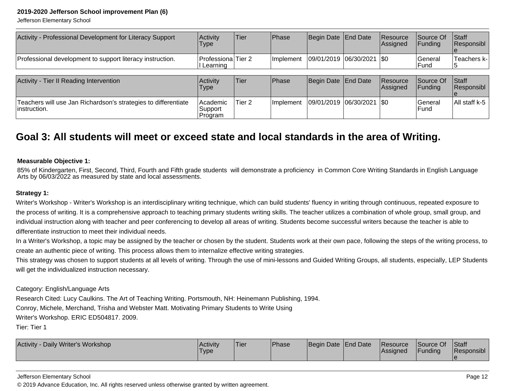Jefferson Elementary School

| Activity - Professional Development for Literacy Support                        | Activity<br>Type                        | <b>Tier</b> | Phase     | Begin Date End Date           | <b>Resource</b><br>Assigned | Source Of<br> Fundina | <b>Staff</b><br>Responsibl |
|---------------------------------------------------------------------------------|-----------------------------------------|-------------|-----------|-------------------------------|-----------------------------|-----------------------|----------------------------|
| Professional development to support literacy instruction.                       | <b>Professiona</b> Tier 2<br>I Learning |             | Implement | $ 09/01/2019 06/30/2021 $ \$0 |                             | lGeneral<br>l Fund    | Teachers k-l               |
|                                                                                 |                                         |             |           |                               |                             |                       |                            |
| Activity - Tier II Reading Intervention                                         | Activity<br><b>Type</b>                 | <b>Tier</b> | Phase     | Begin Date End Date           | <b>Resource</b><br>Assigned | Source Of<br> Fundina | <b>Staff</b><br>Responsibl |
| Teachers will use Jan Richardson's strategies to differentiate<br>linstruction. | Academic<br>Support<br> Program         | Tier 2      | Implement | $ 09/01/2019 06/30/2021 $ \$0 |                             | lGeneral<br>l Fund    | All staff k-5              |

### **Goal 3: All students will meet or exceed state and local standards in the area of Writing.**

#### **Measurable Objective 1:**

85% of Kindergarten, First, Second, Third, Fourth and Fifth grade students will demonstrate a proficiency in Common Core Writing Standards in English Language Arts by 06/03/2022 as measured by state and local assessments.

### **Strategy 1:**

Writer's Workshop - Writer's Workshop is an interdisciplinary writing technique, which can build students' fluency in writing through continuous, repeated exposure to the process of writing. It is a comprehensive approach to teaching primary students writing skills. The teacher utilizes a combination of whole group, small group, andindividual instruction along with teacher and peer conferencing to develop all areas of writing. Students become successful writers because the teacher is able todifferentiate instruction to meet their individual needs.

In a Writer's Workshop, a topic may be assigned by the teacher or chosen by the student. Students work at their own pace, following the steps of the writing process, tocreate an authentic piece of writing. This process allows them to internalize effective writing strategies.

This strategy was chosen to support students at all levels of writing. Through the use of mini-lessons and Guided Writing Groups, all students, especially, LEP Studentswill get the individualized instruction necessary.

#### Category: English/Language Arts

Research Cited: Lucy Caulkins. The Art of Teaching Writing. Portsmouth, NH: Heinemann Publishing, 1994.

Conroy, Michele, Merchand, Trisha and Webster Matt. Motivating Primary Students to Write Using

Writer's Workshop. ERIC ED504817. 2009.

Tier: Tier 1

| <b>Activity</b><br><b>Let Daily Writer's Workshop</b> | l Activitv<br>'Type | Tier | <b>IPhase</b> | Begin Date End Date | <b>Resource</b><br><b>IAssigned</b> | Source Of<br>Funding | Staff<br>Responsibl |
|-------------------------------------------------------|---------------------|------|---------------|---------------------|-------------------------------------|----------------------|---------------------|
|                                                       |                     |      |               |                     |                                     |                      |                     |

Jefferson Elementary School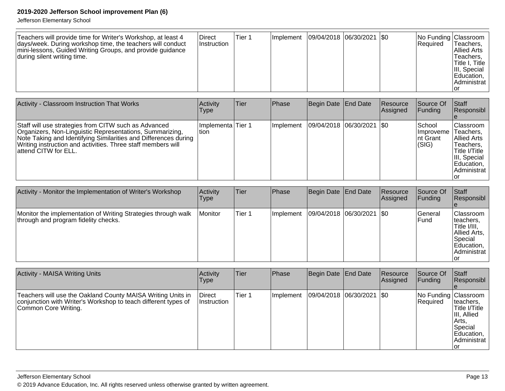| Teachers will provide time for Writer's Workshop, at least 4<br>days/week. During workshop time, the teachers will conduct<br>mini-lessons, Guided Writing Groups, and provide guidance<br>during silent writing time. | <b>Direct</b><br><b>Instruction</b> | Tier 1 |  | Implement   09/04/2018   06/30/2021   \$0 |  |  | No Funding Classroom  <br>l Reauired | Teachers,<br>IAllied Arts<br>Teachers,<br> Title I, Title  <br>III, Special<br>Education,<br>IAdministrat l |
|------------------------------------------------------------------------------------------------------------------------------------------------------------------------------------------------------------------------|-------------------------------------|--------|--|-------------------------------------------|--|--|--------------------------------------|-------------------------------------------------------------------------------------------------------------|
|------------------------------------------------------------------------------------------------------------------------------------------------------------------------------------------------------------------------|-------------------------------------|--------|--|-------------------------------------------|--|--|--------------------------------------|-------------------------------------------------------------------------------------------------------------|

| Activity - Classroom Instruction That Works                                                                                                                                                                                                                                  | Activity<br>Type              | lTier. | <b>Phase</b> | Begin Date End Date         | Resource<br>Assigned | Source Of<br><b>Funding</b>                        | <b>Staff</b><br>Responsibl                                                                                                        |
|------------------------------------------------------------------------------------------------------------------------------------------------------------------------------------------------------------------------------------------------------------------------------|-------------------------------|--------|--------------|-----------------------------|----------------------|----------------------------------------------------|-----------------------------------------------------------------------------------------------------------------------------------|
| Staff will use strategies from CITW such as Advanced<br>Organizers, Non-Linguistic Representations, Summarizing,<br>Note Taking and Identifying Similarities and Differences during<br>Writing instruction and activities. Three staff members will<br>lattend CITW for ELL. | Ilmplementa lTier 1<br>ltion. |        | Implement    | 09/04/2018 06/30/2021   \$0 |                      | School<br><b>Ilmproveme</b><br>Int Grant<br> (SIG) | <b>IClassroom</b><br>Teachers,<br>IAllied Arts<br>Teachers.<br>Title I/Title<br>III, Special<br>Education,<br>Administrat<br>ı or |

| Activity - Monitor the Implementation of Writer's Workshop                                            | <b>Activity</b><br><b>Type</b> | Tier   | Phase     | Begin Date End Date           | Resource<br><b>Assigned</b> | Source Of<br><b>IFunding</b> | Staff<br>Responsibl                                                                              |
|-------------------------------------------------------------------------------------------------------|--------------------------------|--------|-----------|-------------------------------|-----------------------------|------------------------------|--------------------------------------------------------------------------------------------------|
| Monitor the implementation of Writing Strategies through walk<br>through and program fidelity checks. | <i>I</i> Monitor               | Tier 1 | Implement | $ 09/04/2018 06/30/2021 $ \$0 |                             | lGeneral<br>l Fund           | Classroom<br>Iteachers,<br>Title I/III,<br>Allied Arts,<br> Special<br>Education,<br>Administrat |

| <b>Activity - MAISA Writing Units</b>                                                                                                                 | Activity<br>Type                     | <b>Tier</b> | <b>Phase</b> | Begin Date End Date         | Resource<br>Assigned | Source Of<br><b>IFunding</b>     | Staff<br>Responsibl                                                                          |
|-------------------------------------------------------------------------------------------------------------------------------------------------------|--------------------------------------|-------------|--------------|-----------------------------|----------------------|----------------------------------|----------------------------------------------------------------------------------------------|
| Teachers will use the Oakland County MAISA Writing Units in<br>conjunction with Writer's Workshop to teach different types of<br>Common Core Writing. | <b>IDirect</b><br><b>Instruction</b> | Tier 1      | Ilmplement   | 09/04/2018  06/30/2021  \$0 |                      | No Funding Classroom<br>Required | Iteachers,<br>Title I/Title<br>III, Allied<br> Arts,<br>Special<br>Education,<br>Administrat |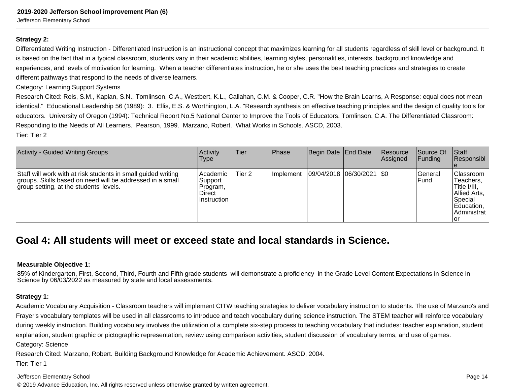Jefferson Elementary School

### **Strategy 2:**

Differentiated Writing Instruction - Differentiated Instruction is an instructional concept that maximizes learning for all students regardless of skill level or background. Itis based on the fact that in a typical classroom, students vary in their academic abilities, learning styles, personalities, interests, background knowledge andexperiences, and levels of motivation for learning. When a teacher differentiates instruction, he or she uses the best teaching practices and strategies to createdifferent pathways that respond to the needs of diverse learners.

Category: Learning Support Systems

Research Cited: Reis, S.M., Kaplan, S.N., Tomlinson, C.A., Westbert, K.L., Callahan, C.M. & Cooper, C.R. "How the Brain Learns, A Response: equal does not mean identical." Educational Leadership 56 (1989): 3. Ellis, E.S. & Worthington, L.A. "Research synthesis on effective teaching principles and the design of quality tools foreducators. University of Oregon (1994): Technical Report No.5 National Center to Improve the Tools of Educators. Tomlinson, C.A. The Differentiated Classroom:Responding to the Needs of All Learners. Pearson, 1999. Marzano, Robert. What Works in Schools. ASCD, 2003.Tier: Tier 2

| <b>Activity - Guided Writing Groups</b>                                                                                                                               | Activity<br><b>Type</b>                                            | Tier   | <b>Phase</b> | Begin Date End Date           | Resource<br>Assigned | Source Of<br><b>Funding</b> | <b>Staff</b><br>Responsibl                                                                     |
|-----------------------------------------------------------------------------------------------------------------------------------------------------------------------|--------------------------------------------------------------------|--------|--------------|-------------------------------|----------------------|-----------------------------|------------------------------------------------------------------------------------------------|
| Staff will work with at risk students in small guided writing<br>groups. Skills based on need will be addressed in a small<br>group setting, at the students' levels. | l Academic<br>Support<br>Program,<br><b>Direct</b><br>∣Instruction | Tier 2 | Ilmplement   | $ 09/04/2018 06/30/2021 $ \$0 |                      | lGeneral<br>lFund           | Classroom<br>Teachers,<br>Title I/III,<br>Allied Arts,<br>Special<br>Education,<br>Administrat |

### **Goal 4: All students will meet or exceed state and local standards in Science.**

#### **Measurable Objective 1:**

85% of Kindergarten, First, Second, Third, Fourth and Fifth grade students will demonstrate a proficiency in the Grade Level Content Expectations in Science inScience by 06/03/2022 as measured by state and local assessments.

#### **Strategy 1:**

Academic Vocabulary Acquisition - Classroom teachers will implement CITW teaching strategies to deliver vocabulary instruction to students. The use of Marzano's andFrayer's vocabulary templates will be used in all classrooms to introduce and teach vocabulary during science instruction. The STEM teacher will reinforce vocabularyduring weekly instruction. Building vocabulary involves the utilization of a complete six-step process to teaching vocabulary that includes: teacher explanation, studentexplanation, student graphic or pictographic representation, review using comparison activities, student discussion of vocabulary terms, and use of games.Category: Science

Research Cited: Marzano, Robert. Building Background Knowledge for Academic Achievement. ASCD, 2004.

Tier: Tier 1

Jefferson Elementary School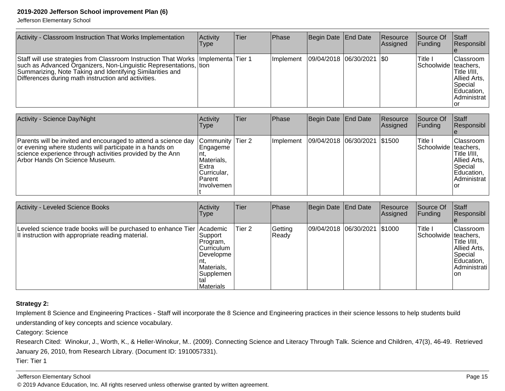Jefferson Elementary School

| Activity - Classroom Instruction That Works Implementation                                                                                                                                                                                                                     | Activity<br>Type | lTier | Phase     | Begin Date End Date         | Resource<br>Assigned | Source Of<br><b>Funding</b>       | Staff<br>Responsibl                                                                       |
|--------------------------------------------------------------------------------------------------------------------------------------------------------------------------------------------------------------------------------------------------------------------------------|------------------|-------|-----------|-----------------------------|----------------------|-----------------------------------|-------------------------------------------------------------------------------------------|
| Staff will use strategies from Classroom Instruction That Works   Implementa   Tier 1<br>such as Advanced Organizers, Non-Linguistic Representations, tion<br>Summarizing, Note Taking and Identifying Similarities and<br>Differences during math instruction and activities. |                  |       | Implement | 09/04/2018  06/30/2021  \$0 |                      | Title I<br>Schoolwide   teachers, | <b>Classroom</b><br>ITitle I/III.<br>Allied Arts,<br>Special<br>Education,<br>Administrat |

| Activity - Science Day/Night                                                                                                                                                                                               | Activity<br>Type                                                                                | <b>Tier</b> | <b>Phase</b> | Begin Date End Date          | Resource<br>Assigned | Source Of<br><b>Funding</b>       | Staff<br>Responsibl                                                                       |
|----------------------------------------------------------------------------------------------------------------------------------------------------------------------------------------------------------------------------|-------------------------------------------------------------------------------------------------|-------------|--------------|------------------------------|----------------------|-----------------------------------|-------------------------------------------------------------------------------------------|
| Parents will be invited and encouraged to attend a science day<br>or evening where students will participate in a hands on<br>science experience through activities provided by the Ann<br> Arbor Hands On Science Museum. | Community Tier 2<br>Engageme<br>Materials,<br>l Extra<br>lCurricular.<br>l Parent<br>Involvemen |             | Implement    | 09/04/2018 06/30/2021 \$1500 |                      | Title l<br>Schoolwide   teachers, | Classroom<br>Title I/III,<br>Allied Arts,<br> Special<br>Education,<br>Administrat<br>loi |

| Activity - Leveled Science Books                                                                                            | Activity<br><b>Type</b>                                                                                           | Tier   | Phase            | Begin Date End Date          | Resource<br>Assigned | Source Of<br> Fundina             | <b>Staff</b><br>Responsibl                                                                 |
|-----------------------------------------------------------------------------------------------------------------------------|-------------------------------------------------------------------------------------------------------------------|--------|------------------|------------------------------|----------------------|-----------------------------------|--------------------------------------------------------------------------------------------|
| Leveled science trade books will be purchased to enhance Tier Academic<br>II instruction with appropriate reading material. | ⊺Support<br>Program,<br><b>Curriculum</b><br> Developme <br>Materials,<br> Supplemen <br>Ital<br><b>Materials</b> | Tier 2 | Getting<br>Ready | 09/04/2018 06/30/2021 \$1000 |                      | Title I<br>Schoolwide   teachers, | Classroom<br>Title I/III,<br>Allied Arts,<br> Special<br>Education,<br>Administrati<br>Ion |

### **Strategy 2:**

Implement 8 Science and Engineering Practices - Staff will incorporate the 8 Science and Engineering practices in their science lessons to help students buildunderstanding of key concepts and science vocabulary.

Category: Science

Research Cited: Winokur, J., Worth, K., & Heller-Winokur, M.. (2009). Connecting Science and Literacy Through Talk. Science and Children, 47(3), 46-49. Retrieved January 26, 2010, from Research Library. (Document ID: 1910057331). Tier: Tier 1

Jefferson Elementary School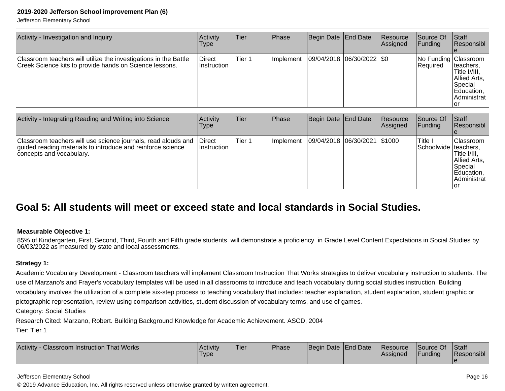Jefferson Elementary School

| Activity - Investigation and Inquiry                                                                                        | Activity<br>Type      | <b>Tier</b> | <b>Phase</b> | Begin Date End Date         | Resource<br>Assigned | Source Of<br> Funding              | Staff<br>Responsibl                                                                         |
|-----------------------------------------------------------------------------------------------------------------------------|-----------------------|-------------|--------------|-----------------------------|----------------------|------------------------------------|---------------------------------------------------------------------------------------------|
| Classroom teachers will utilize the investigations in the Battle<br>Creek Science kits to provide hands on Science lessons. | Direct<br>Instruction | Tier 1      | Implement    | 09/04/2018  06/30/2022  \$0 |                      | No Funding   Classroom<br>Required | Iteachers,<br>Title I//III,<br>Allied Arts,<br> Special<br>Education,<br>Administrat<br>Tor |

| Activity - Integrating Reading and Writing into Science                                                                                                  | Activity<br>Type               | Tier   | <b>Phase</b> | Begin Date   End Date        | <b>IResource</b><br>Assigned | Source Of<br><b>Funding</b>       | <b>Staff</b><br>Responsibl                                                                |
|----------------------------------------------------------------------------------------------------------------------------------------------------------|--------------------------------|--------|--------------|------------------------------|------------------------------|-----------------------------------|-------------------------------------------------------------------------------------------|
| Classroom teachers will use science journals, read alouds and<br>guided reading materials to introduce and reinforce science<br>concepts and vocabulary. | <b>IDirect</b><br>⊺Instruction | Tier 1 | Ilmplement   | 09/04/2018 06/30/2021 \$1000 |                              | Title I<br>Schoolwide   teachers, | Classroom<br>'Title I/III,<br>Allied Arts,<br>Special<br>Education,<br>Administrat<br>lor |

### **Goal 5: All students will meet or exceed state and local standards in Social Studies.**

### **Measurable Objective 1:**

85% of Kindergarten, First, Second, Third, Fourth and Fifth grade students will demonstrate a proficiency in Grade Level Content Expectations in Social Studies by06/03/2022 as measured by state and local assessments.

### **Strategy 1:**

Academic Vocabulary Development - Classroom teachers will implement Classroom Instruction That Works strategies to deliver vocabulary instruction to students. Theuse of Marzano's and Frayer's vocabulary templates will be used in all classrooms to introduce and teach vocabulary during social studies instruction. Building vocabulary involves the utilization of a complete six-step process to teaching vocabulary that includes: teacher explanation, student explanation, student graphic orpictographic representation, review using comparison activities, student discussion of vocabulary terms, and use of games.

Category: Social Studies

Research Cited: Marzano, Robert. Building Background Knowledge for Academic Achievement. ASCD, 2004

Tier: Tier 1

| Activity<br><b>Classroom Instruction That Works</b> | <b>Activity</b><br><b>Type</b> | Tier | <b>Phase</b> | Begin Date End Date |  | <b>Resource</b><br> Assigned | Source Of<br>Funding | Staff<br>Responsibl |
|-----------------------------------------------------|--------------------------------|------|--------------|---------------------|--|------------------------------|----------------------|---------------------|
|-----------------------------------------------------|--------------------------------|------|--------------|---------------------|--|------------------------------|----------------------|---------------------|

#### Jefferson Elementary School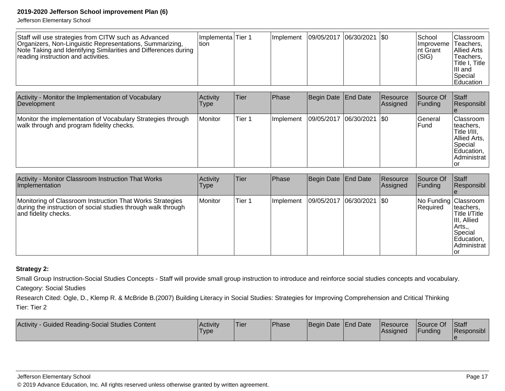Jefferson Elementary School

| Staff will use strategies from CITW such as Advanced<br>Ilmplementa Tier 1<br>Organizers, Non-Linguistic Representations, Summarizing,<br>Ition<br>Note Taking and Identifying Similarities and Differences during<br>reading instruction and activities. |  | <b>Ilmplement</b> | 09/05/2017  06/30/2021  \$0 |  |  | School<br>Ilmproveme I<br>Int Grant<br>(SIG) | <b>Classroom</b><br>'Teachers,<br><b>IAllied Arts</b><br>Teachers,<br>lTitle I. Title l<br>III and<br><b>Special</b><br><b>IEducation</b> |
|-----------------------------------------------------------------------------------------------------------------------------------------------------------------------------------------------------------------------------------------------------------|--|-------------------|-----------------------------|--|--|----------------------------------------------|-------------------------------------------------------------------------------------------------------------------------------------------|
|-----------------------------------------------------------------------------------------------------------------------------------------------------------------------------------------------------------------------------------------------------------|--|-------------------|-----------------------------|--|--|----------------------------------------------|-------------------------------------------------------------------------------------------------------------------------------------------|

| Activity - Monitor the Implementation of Vocabulary<br>Development                                       | Activity<br><b>Type</b> | Tier   | Phase     | Begin Date   End Date       | <b>Resource</b><br>Assigned | Source Of<br> Fundina | Staff<br>Responsibl                                                                                            |
|----------------------------------------------------------------------------------------------------------|-------------------------|--------|-----------|-----------------------------|-----------------------------|-----------------------|----------------------------------------------------------------------------------------------------------------|
| Monitor the implementation of Vocabulary Strategies through<br>walk through and program fidelity checks. | Monitor                 | Tier 1 | Implement | 09/05/2017  06/30/2021  \$0 |                             | lGeneral<br>l Fund    | <b>Classroom</b><br>Iteachers,<br>Title I/III.<br>Allied Arts,<br> Special<br>Education,<br>Administrat<br>Ior |

| Activity - Monitor Classroom Instruction That Works<br>Implementation                                                                              | Activity<br>Type | Tier   | Phase     | Begin Date End Date           | Resource<br><b>Assigned</b> | Source Of<br><b>Funding</b>      | <b>Staff</b><br><b>Responsibl</b>                                                             |
|----------------------------------------------------------------------------------------------------------------------------------------------------|------------------|--------|-----------|-------------------------------|-----------------------------|----------------------------------|-----------------------------------------------------------------------------------------------|
| Monitoring of Classroom Instruction That Works Strategies<br>during the instruction of social studies through walk through<br>and fidelity checks. | Monitor          | Tier 1 | Implement | $ 09/05/2017 06/30/2021 $ \$0 |                             | No Funding Classroom<br>Required | Iteachers,<br>Title I/Title<br>III, Allied<br> Arts,,<br>Special<br>Education,<br>Administrat |

### **Strategy 2:**

Small Group Instruction-Social Studies Concepts - Staff will provide small group instruction to introduce and reinforce social studies concepts and vocabulary.

Category: Social Studies

Research Cited: Ogle, D., Klemp R. & McBride B.(2007) Building Literacy in Social Studies: Strategies for Improving Comprehension and Critical Thinking Tier: Tier 2

| Activity - Guided Reading-Social Studies Content | <b>Activity</b><br>Type | 'Tier | <sup>'</sup> Phase | Begin Date End Date | <b>Resource</b><br>lAssianed | Source Of<br><b>Funding</b> | <b>Staff</b><br>Responsibl |
|--------------------------------------------------|-------------------------|-------|--------------------|---------------------|------------------------------|-----------------------------|----------------------------|
|                                                  |                         |       |                    |                     |                              |                             |                            |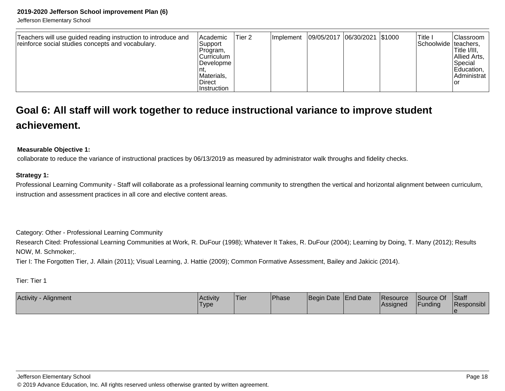Jefferson Elementary School

| Teachers will use guided reading instruction to introduce and<br>reinforce social studies concepts and vocabulary. | Academic<br>Tier 2<br> Support <br>Program,<br>lCurriculum<br><b>IDevelopme</b><br>Materials.<br><b>Direct</b><br>Instruction | <b>Ilmplement</b> | 09/05/2017  06/30/2021  \$1000 |  |  | ' Title ⊥<br>Schoolwide   teachers, | <b>IClassroom</b><br>'Title I/III,<br>Allied Arts,<br> Special<br>Education,<br>Administrat<br>Tor |
|--------------------------------------------------------------------------------------------------------------------|-------------------------------------------------------------------------------------------------------------------------------|-------------------|--------------------------------|--|--|-------------------------------------|----------------------------------------------------------------------------------------------------|
|--------------------------------------------------------------------------------------------------------------------|-------------------------------------------------------------------------------------------------------------------------------|-------------------|--------------------------------|--|--|-------------------------------------|----------------------------------------------------------------------------------------------------|

### **Goal 6: All staff will work together to reduce instructional variance to improve studentachievement.**

#### **Measurable Objective 1:**

collaborate to reduce the variance of instructional practices by 06/13/2019 as measured by administrator walk throughs and fidelity checks.

### **Strategy 1:**

Professional Learning Community - Staff will collaborate as a professional learning community to strengthen the vertical and horizontal alignment between curriculum,instruction and assessment practices in all core and elective content areas.

Category: Other - Professional Learning Community

 Research Cited: Professional Learning Communities at Work, R. DuFour (1998); Whatever It Takes, R. DuFour (2004); Learning by Doing, T. Many (2012); ResultsNOW, M. Schmoker;.

Tier I: The Forgotten Tier, J. Allain (2011); Visual Learning, J. Hattie (2009); Common Formative Assessment, Bailey and Jakicic (2014).

Tier: Tier 1

| Activity<br>. Alignment | <b>Activity</b><br>'Type | 'Tier | <b>Phase</b> | Begin Date End Date | Resource<br><b>Assigned</b> | Source Of<br>Funding | <b>Staff</b><br>Responsibl |
|-------------------------|--------------------------|-------|--------------|---------------------|-----------------------------|----------------------|----------------------------|
|                         |                          |       |              |                     |                             |                      |                            |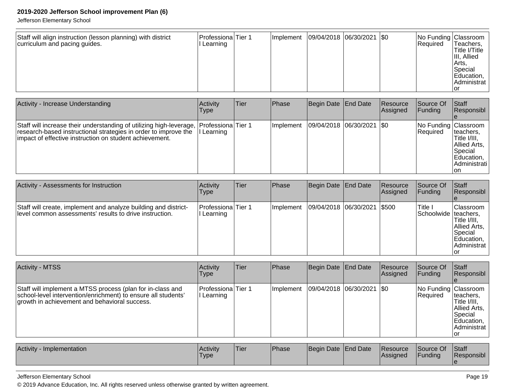Jefferson Elementary School

| Staff will align instruction (lesson planning) with district<br>curriculum and pacing guides. | Professiona Tier 1<br>Learning |  |  |  | Implement   09/04/2018   06/30/2021   \$0 |  | No Funding Classroom<br>Required | 'Teachers,<br><sup>1</sup> Title I/Title<br>III, Allied<br> Arts,<br>Special<br>Education,<br>Administrat |
|-----------------------------------------------------------------------------------------------|--------------------------------|--|--|--|-------------------------------------------|--|----------------------------------|-----------------------------------------------------------------------------------------------------------|
|-----------------------------------------------------------------------------------------------|--------------------------------|--|--|--|-------------------------------------------|--|----------------------------------|-----------------------------------------------------------------------------------------------------------|

| Activity - Increase Understanding                                                                                                                                                                                     | Activity<br><b>Type</b> | <b>Tier</b> | <b>Phase</b> | Begin Date End Date           | Resource<br><b>Assigned</b> | Source Of<br> Funding                   | <b>Staff</b><br><b>Responsibl</b>                                                                 |
|-----------------------------------------------------------------------------------------------------------------------------------------------------------------------------------------------------------------------|-------------------------|-------------|--------------|-------------------------------|-----------------------------|-----------------------------------------|---------------------------------------------------------------------------------------------------|
| Staff will increase their understanding of utilizing high-leverage, Professiona Tier 1<br>research-based instructional strategies in order to improve the<br>limpact of effective instruction on student achievement. | II Learning             |             | Ilmplement   | $ 09/04/2018 06/30/2021 $ \$0 |                             | No Funding Classroom<br><b>Required</b> | Iteachers,<br>Title I/III,<br>Allied Arts,<br><b>Special</b><br>Education,<br>Administrati<br>Ion |

| <b>Activity - Assessments for Instruction</b>                                                                              | Activity<br><b>Type</b>                 | lTier | Phase     | Begin Date   End Date       | Resource<br>Assigned | Source Of<br>IFundina             | <b>Staff</b><br>Responsibl                                                                              |
|----------------------------------------------------------------------------------------------------------------------------|-----------------------------------------|-------|-----------|-----------------------------|----------------------|-----------------------------------|---------------------------------------------------------------------------------------------------------|
| Staff will create, implement and analyze building and district-<br>level common assessments' results to drive instruction. | <b>Professiona</b> Tier 1<br>I Learning |       | Implement | 09/04/2018 06/30/2021 \$500 |                      | Title I<br>Schoolwide   teachers, | <b>Classroom</b><br>'Title I/III,<br>Allied Arts,<br>Special<br>Education,<br><b>Administrat</b><br>'or |

| <b>Activity - MTSS</b>                                                                                                                                                       | <b>Activity</b><br>Type            | ∣Tier∶ | <b>IPhase</b> | Begin Date End Date |                             | Resource<br>Assigned | Source Of<br> Funding            | <b>Staff</b><br>Responsibl                                                                  |
|------------------------------------------------------------------------------------------------------------------------------------------------------------------------------|------------------------------------|--------|---------------|---------------------|-----------------------------|----------------------|----------------------------------|---------------------------------------------------------------------------------------------|
| Staff will implement a MTSS process (plan for in-class and<br>school-level intervention/enrichment) to ensure all students'<br>growth in achievement and behavioral success. | lProfessionalTier 1<br>II Learning |        | Implement     |                     | 09/04/2018 06/30/2021   \$0 |                      | No Funding Classroom<br>Required | Iteachers,<br>lTitle I/III.<br>Allied Arts,<br> Special<br>Education,<br>Administrat<br>lor |

| <b>Activity</b><br>Implementation | Activity<br>Type<br>-- | <sup>1</sup> Tier | Phase | Begin Date End Date |  | <b>Resource</b><br> Assigned | Source Of<br>Funding | Staff<br>. .<br>Responsibl |
|-----------------------------------|------------------------|-------------------|-------|---------------------|--|------------------------------|----------------------|----------------------------|
|-----------------------------------|------------------------|-------------------|-------|---------------------|--|------------------------------|----------------------|----------------------------|

Jefferson Elementary School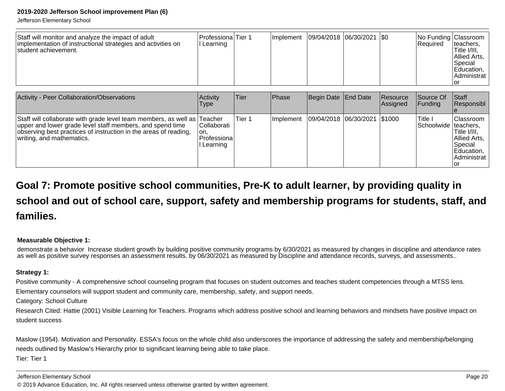Jefferson Elementary School

| Staff will monitor and analyze the impact of adult<br>implementation of instructional strategies and activities on<br>Istudent achievement. | lProfessionalTier 1<br>Learning |  | Ilmplement | 09/04/2018  06/30/2021  \$0 |  |  | No Funding Classroom<br><b>Required</b> | Iteachers.<br>'Title I/III,<br>Allied Arts,<br>Special<br>Education,<br>Administrat<br>lor |
|---------------------------------------------------------------------------------------------------------------------------------------------|---------------------------------|--|------------|-----------------------------|--|--|-----------------------------------------|--------------------------------------------------------------------------------------------|
|---------------------------------------------------------------------------------------------------------------------------------------------|---------------------------------|--|------------|-----------------------------|--|--|-----------------------------------------|--------------------------------------------------------------------------------------------|

| Activity - Peer Collaboration/Observations                                                                                                                                                                                             | Activity<br><b>Type</b>                                      | <b>Tier</b> | <b>Phase</b> | Begin Date End Date          | Resource<br>Assigned | <b>Source Of</b><br> Funding      | <b>Staff</b><br>Responsibl                                                              |
|----------------------------------------------------------------------------------------------------------------------------------------------------------------------------------------------------------------------------------------|--------------------------------------------------------------|-------------|--------------|------------------------------|----------------------|-----------------------------------|-----------------------------------------------------------------------------------------|
| Staff will collaborate with grade level team members, as well as Teacher<br>upper and lower grade level staff members, and spend time<br>observing best practices of instruction in the areas of reading,<br>writing, and mathematics. | <b>Collaborati</b><br>Ton.<br><b>Professiona</b><br>Learning | Tier 1      | Implement    | 09/04/2018 06/30/2021 \$1000 |                      | Title I<br>Schoolwide   teachers, | Classroom  <br>ITitle I/III.<br>Allied Arts,<br> Special<br>Education,  <br>Administrat |

# **Goal 7: Promote positive school communities, Pre-K to adult learner, by providing quality inschool and out of school care, support, safety and membership programs for students, staff, andfamilies.**

### **Measurable Objective 1:**

demonstrate a behavior Increase student growth by building positive community programs by 6/30/2021 as measured by changes in discipline and attendance ratesas well as positive survey responses an assessment results. by 06/30/2021 as measured by Discipline and attendance records, surveys, and assessments..

### **Strategy 1:**

Positive community - A comprehensive school counseling program that focuses on student outcomes and teaches student competencies through a MTSS lens.

Elementary counselors will support student and community care, membership, safety, and support needs.

Category: School Culture

Research Cited: Hattie (2001) Visible Learning for Teachers. Programs which address positive school and learning behaviors and mindsets have positive impact onstudent success

Maslow (1954). Motivation and Personality. ESSA's focus on the whole child also underscores the importance of addressing the safety and membership/belongingneeds outlined by Maslow's Hierarchy prior to significant learning being able to take place.Tier: Tier 1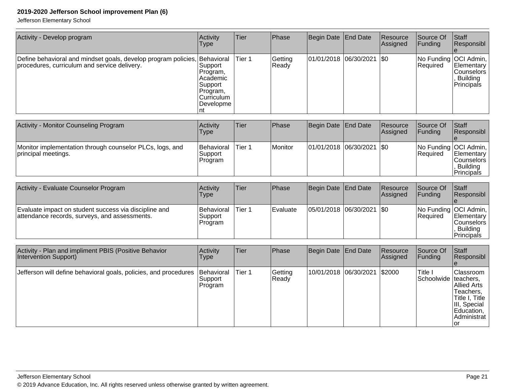| Activity - Develop program                                                                                                | Activity<br>Type                                                                            | Tier   | Phase            | Begin Date End Date         | Resource<br>Assigned | Source Of<br> Funding | Staff<br>Responsibl                                                                   |
|---------------------------------------------------------------------------------------------------------------------------|---------------------------------------------------------------------------------------------|--------|------------------|-----------------------------|----------------------|-----------------------|---------------------------------------------------------------------------------------|
| Define behavioral and mindset goals, develop program policies, Behavioral<br>procedures, curriculum and service delivery. | Support<br>Program,<br>l Academic<br>Support<br>Program,<br><b>Curriculum</b><br> Developme | Tier 1 | Getting<br>Ready | 01/01/2018 06/30/2021   \$0 |                      | Required              | No Funding   OCI Admin,  <br> Elementary  <br> Counselors  <br>Building<br>Principals |

| <b>Activity - Monitor Counseling Program</b>                                    | <b>Activity</b><br>Type                     | Tier   | Phase   | Begin Date End Date           | Resource<br><b>Assigned</b> | Source Of<br><b>IFunding</b> | <b>IStaff</b><br>Responsibl                                                     |
|---------------------------------------------------------------------------------|---------------------------------------------|--------|---------|-------------------------------|-----------------------------|------------------------------|---------------------------------------------------------------------------------|
| Monitor implementation through counselor PLCs, logs, and<br>principal meetings. | <b>Behavioral</b><br>lSupport i<br>⊩Program | Tier 1 | Monitor | $ 01/01/2018 06/30/2021 $ \$0 |                             | <b>Required</b>              | No Funding   OCI Admin,<br>Elementary<br> Counselors <br>Building<br>Principals |

| Activity - Evaluate Counselor Program                                                                  | Activity<br>Type                        | Tier   | Phase            | Begin Date End Date         | Resource<br><b>Assigned</b> | Source Of<br><b>Funding</b> | <b>Staff</b><br>Responsibl                                                                         |
|--------------------------------------------------------------------------------------------------------|-----------------------------------------|--------|------------------|-----------------------------|-----------------------------|-----------------------------|----------------------------------------------------------------------------------------------------|
| Evaluate impact on student success via discipline and<br>attendance records, surveys, and assessments. | <b>Behavioral</b><br>Support<br>Program | Tier 1 | <b>IEvaluate</b> | 05/01/2018 06/30/2021   \$0 |                             | <b>Required</b>             | No Funding   OCI Admin,<br><b>Elementary</b><br><b>Counselors</b><br><b>Building</b><br>Principals |

| Activity - Plan and impliment PBIS (Positive Behavior<br>Intervention Support) | Activity<br>Type                   | <b>Tier</b> | Phase            | Begin Date End Date    | Resource<br>Assigned | Source Of<br> Funding             | <b>Staff</b><br>Responsibl                                                                                            |
|--------------------------------------------------------------------------------|------------------------------------|-------------|------------------|------------------------|----------------------|-----------------------------------|-----------------------------------------------------------------------------------------------------------------------|
| Jefferson will define behavioral goals, policies, and procedures               | Behavioral<br> Support <br>Program | Tier 1      | Getting<br>Ready | 10/01/2018  06/30/2021 | <b>S2000</b>         | Title I<br>Schoolwide   teachers, | lClassroom<br><b>Allied Arts</b><br>Teachers,<br> Title I, Title<br>III, Special<br>Education,<br>Administrat<br>l or |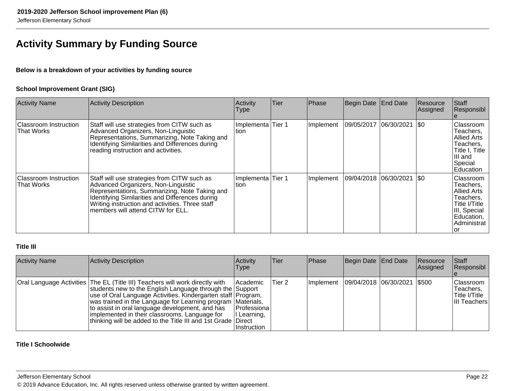### **Activity Summary by Funding Source**

### **Below is a breakdown of your activities by funding source**

### **School Improvement Grant (SIG)**

| <b>Activity Name</b>                              | Activity Description                                                                                                                                                                                                                                                           | Activity<br>Type           | <b>Tier</b> | Phase     | Begin Date End Date         |                    | Resource<br><b>Assigned</b> | Staff<br>Responsibl                                                                                                            |
|---------------------------------------------------|--------------------------------------------------------------------------------------------------------------------------------------------------------------------------------------------------------------------------------------------------------------------------------|----------------------------|-------------|-----------|-----------------------------|--------------------|-----------------------------|--------------------------------------------------------------------------------------------------------------------------------|
| <b>Classroom Instruction</b><br><b>That Works</b> | Staff will use strategies from CITW such as<br>Advanced Organizers, Non-Linguistic<br>Representations, Summarizing, Note Taking and<br>Identifying Similarities and Differences during<br>reading instruction and activities.                                                  | Implementa Tier 1<br>Ition |             | Implement | 09/05/2017                  | $ 06/30/2021 $ \$0 |                             | Classroom<br>Teachers.<br>Allied Arts<br>Teachers,<br>Title I, Title<br>III and<br>Special<br><b>IEducation</b>                |
| <b>Classroom Instruction</b><br>That Works        | Staff will use strategies from CITW such as<br>Advanced Organizers, Non-Linguistic<br>Representations, Summarizing, Note Taking and<br>Identifying Similarities and Differences during<br>Writing instruction and activities. Three staff<br>members will attend CITW for ELL. | Implementa Tier 1<br>Ition |             | Implement | 09/04/2018  06/30/2021  \$0 |                    |                             | <b>Classroom</b><br>Teachers,<br>Allied Arts<br>Teachers,<br>Title I/Title<br>III, Special<br>Education,<br>Administrat<br>lor |

### **Title III**

| <b>Activity Name</b> | Activity Description                                                                                                                                                                                                                                                                                                                                                                                                                        | Activity<br><b>Type</b>                                               | Tier   | Phase     | Begin Date   End Date          | Resource<br><b>Assigned</b> | Staff<br>Responsibl                                            |
|----------------------|---------------------------------------------------------------------------------------------------------------------------------------------------------------------------------------------------------------------------------------------------------------------------------------------------------------------------------------------------------------------------------------------------------------------------------------------|-----------------------------------------------------------------------|--------|-----------|--------------------------------|-----------------------------|----------------------------------------------------------------|
|                      | Oral Language Activities The EL (Title III) Teachers will work directly with<br>students new to the English Language through the Support<br>use of Oral Language Activities. Kindergarten staff Program,<br>was trained in the Language for Learning program Materials,<br>to assist in oral language development, and has<br>implemented in their classrooms. Language for<br>thinking will be added to the Title III and 1st Grade Direct | <b>Academic</b><br> Professiona <br>I Learning,<br><b>Instruction</b> | Tier 2 | Implement | 09/04/2018  06/30/2021   \$500 |                             | <b>Classroom</b><br>Teachers,<br>Title I/Title<br>III Teachers |

### **Title I Schoolwide**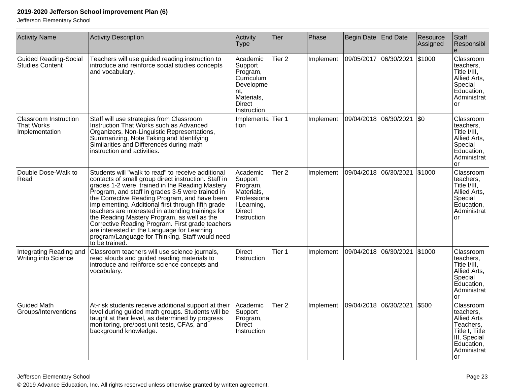| <b>Activity Name</b>                                                | <b>Activity Description</b>                                                                                                                                                                                                                                                                                                                                                                                                                                                                                                                                                                          | Activity<br><b>Type</b>                                                                                            | Tier              | Phase     | Begin Date   End Date |            | Resource<br>Assigned | Staff<br>Responsibl                                                                                                             |
|---------------------------------------------------------------------|------------------------------------------------------------------------------------------------------------------------------------------------------------------------------------------------------------------------------------------------------------------------------------------------------------------------------------------------------------------------------------------------------------------------------------------------------------------------------------------------------------------------------------------------------------------------------------------------------|--------------------------------------------------------------------------------------------------------------------|-------------------|-----------|-----------------------|------------|----------------------|---------------------------------------------------------------------------------------------------------------------------------|
| <b>Guided Reading-Social</b><br><b>Studies Content</b>              | Teachers will use guided reading instruction to<br>introduce and reinforce social studies concepts<br>and vocabulary.                                                                                                                                                                                                                                                                                                                                                                                                                                                                                | Academic<br>Support<br>Program,<br>Curriculum<br>Developme<br>nt.<br>Materials,<br><b>Direct</b><br>Instruction    | Tier <sub>2</sub> | Implement | 09/05/2017            | 06/30/2021 | \$1000               | Classroom<br>teachers,<br>Title I/III,<br>Allied Arts,<br>Special<br>Education,<br>Administrat<br>or                            |
| <b>Classroom Instruction</b><br><b>That Works</b><br>Implementation | Staff will use strategies from Classroom<br>Instruction That Works such as Advanced<br>Organizers, Non-Linguistic Representations,<br>Summarizing, Note Taking and Identifying<br>Similarities and Differences during math<br>instruction and activities.                                                                                                                                                                                                                                                                                                                                            | Implementa Tier 1<br>tion                                                                                          |                   | Implement | 09/04/2018 06/30/2021 |            | $ 30\rangle$         | Classroom<br>teachers,<br>Title I/III,<br>Allied Arts,<br>Special<br>Education,<br>Administrat<br>or                            |
| Double Dose-Walk to<br>Read                                         | Students will "walk to read" to receive additional<br>contacts of small group direct instruction. Staff in<br>grades 1-2 were trained in the Reading Mastery<br>Program, and staff in grades 3-5 were trained in<br>the Corrective Reading Program, and have been<br>implementing. Additional first through fifth grade<br>teachers are interested in attending trainings for<br>the Reading Mastery Program, as well as the<br>Corrective Reading Program. First grade teachers<br>are interested in the Language for Learning<br>program/Language for Thinking. Staff would need<br>to be trained. | Academic<br>Support<br>Program,<br>Materials,<br>Professiona<br>I Learning,<br><b>Direct</b><br><b>Instruction</b> | Tier <sub>2</sub> | Implement | 09/04/2018            | 06/30/2021 | \$1000               | Classroom<br>teachers,<br>Title I/III,<br>Allied Arts,<br>Special<br>Education,<br>Administrat<br>or                            |
| Integrating Reading and<br>Writing into Science                     | Classroom teachers will use science journals,<br>read alouds and guided reading materials to<br>introduce and reinforce science concepts and<br>vocabulary.                                                                                                                                                                                                                                                                                                                                                                                                                                          | Direct<br><b>Instruction</b>                                                                                       | Tier 1            | Implement | 09/04/2018            | 06/30/2021 | \$1000               | Classroom<br>teachers,<br>Title I/III,<br>Allied Arts,<br>Special<br>Education,<br>Administrat<br>or                            |
| <b>Guided Math</b><br>Groups/Interventions                          | At-risk students receive additional support at their<br>level during guided math groups. Students will be<br>taught at their level, as determined by progress<br>monitoring, pre/post unit tests, CFAs, and<br>background knowledge.                                                                                                                                                                                                                                                                                                                                                                 | Academic<br>Support<br>Program,<br>Direct<br>Instruction                                                           | Tier <sub>2</sub> | Implement | 09/04/2018            | 06/30/2021 | \$500                | Classroom<br>teachers,<br><b>Allied Arts</b><br>Teachers,<br>Title I, Title<br>III, Special<br>Education,<br>Administrat<br>lor |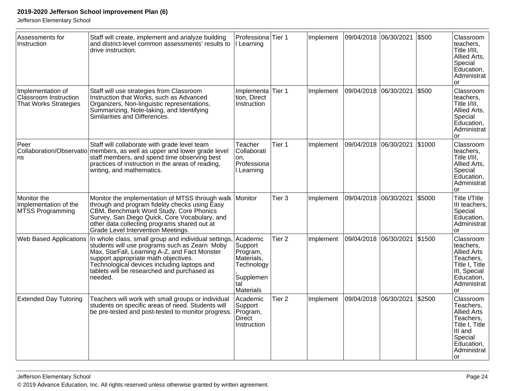| Assessments for<br>Instruction                                             | Staff will create, implement and analyze building<br>and district-level common assessments' results to<br>drive instruction.                                                                                                                                                                            | Professiona Tier 1<br>I Learning                                                                    |                   | Implement | 09/04/2018 06/30/2021 |            | \$500  | Classroom<br>teachers,<br>Title I/III.<br>Allied Arts,<br>Special<br>Education,<br>Administrat<br><b>or</b>                           |
|----------------------------------------------------------------------------|---------------------------------------------------------------------------------------------------------------------------------------------------------------------------------------------------------------------------------------------------------------------------------------------------------|-----------------------------------------------------------------------------------------------------|-------------------|-----------|-----------------------|------------|--------|---------------------------------------------------------------------------------------------------------------------------------------|
| Implementation of<br>Classroom Instruction<br><b>That Works Strategies</b> | Staff will use strategies from Classroom<br>Instruction that Works, such as Advanced<br>Organizers, Non-linguistic representations,<br>Summarizing, Note-taking, and Identifying<br>Similarities and Differences.                                                                                       | Implementa<br>tion, Direct<br>Instruction                                                           | Tier 1            | Implement | 09/04/2018 06/30/2021 |            | \$500  | Classroom<br>teachers,<br>Title I/III,<br>Allied Arts,<br>Special<br>Education,<br>Administrat<br>or                                  |
| Peer<br>ns                                                                 | Staff will collaborate with grade level team<br>Collaboration/Observatio members, as well as upper and lower grade level<br>staff members, and spend time observing best<br>practices of instruction in the areas of reading,<br>writing, and mathematics.                                              | Teacher<br>Collaborati<br>on,<br>Professiona<br>I Learning                                          | Tier 1            | Implement | 09/04/2018            | 06/30/2021 | \$1000 | Classroom<br>teachers,<br>Title I/III.<br>Allied Arts,<br>Special<br>Education,<br>Administrat<br>or                                  |
| Monitor the<br>Implementation of the<br>MTSS Programming                   | Monitor the implementation of MTSS through walk Monitor<br>through and program fidelity checks using Easy<br>CBM, Benchmark Word Study, Core Phonics<br>Survey, San Diego Quick, Core Vocabulary, and<br>other data collecting programs shared out at<br>Grade Level Intervention Meetings.             |                                                                                                     | Tier <sub>3</sub> | Implement | 09/04/2018            | 06/30/2021 | \$5000 | Title I/Title<br>III teachers,<br>Special<br>Education,<br>Administrat<br>or                                                          |
| <b>Web Based Applications</b>                                              | In whole class, small group and individual settings,<br>students will use programs such as Zearn Moby<br>Max, StarFall, Learning A-Z, and Fact Monster<br>support appropriate math objectives.<br>Technological devices including laptops and<br>tablets will be researched and purchased as<br>needed. | Academic<br>Support<br>Program,<br>Materials,<br>Technology<br>Supplemen<br>tal<br><b>Materials</b> | Tier <sub>2</sub> | Implement | 09/04/2018            | 06/30/2021 | \$1500 | Classroom<br>teachers,<br><b>Allied Arts</b><br>Teachers,<br>Title I, Title<br>III, Special<br>Education,<br>Administrat<br>or        |
| <b>Extended Day Tutoring</b>                                               | Teachers will work with small groups or individual<br>students on specific areas of need. Students will<br>be pre-tested and post-tested to monitor progress.                                                                                                                                           | Academic<br>Support<br>Program,<br>Direct<br>Instruction                                            | Tier <sub>2</sub> | Implement | 09/04/2018 06/30/2021 |            | \$2500 | Classroom<br>Teachers,<br><b>Allied Arts</b><br>Teachers,<br>Title I, Title<br>III and<br>Special<br>Education,<br>Administrat<br>lor |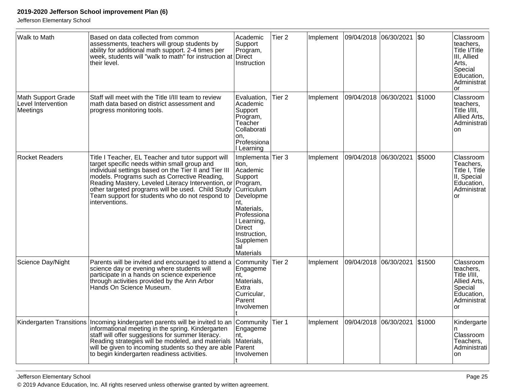| Walk to Math                                                | Based on data collected from common<br>assessments, teachers will group students by<br>ability for additional math support. 2-4 times per<br>week, students will "walk to math" for instruction at<br>their level.                                                                                                                                                                          | Academic<br>Support<br>Program,<br>Direct<br>Instruction                                                                                                                                                             | Tier <sub>2</sub> | Implement | 09/04/2018 06/30/2021 |            | $\sqrt{50}$ | Classroom<br>teachers.<br>Title I/Title<br>III, Allied<br>Arts,<br>Special<br>Education,<br>Administrat<br>or |
|-------------------------------------------------------------|---------------------------------------------------------------------------------------------------------------------------------------------------------------------------------------------------------------------------------------------------------------------------------------------------------------------------------------------------------------------------------------------|----------------------------------------------------------------------------------------------------------------------------------------------------------------------------------------------------------------------|-------------------|-----------|-----------------------|------------|-------------|---------------------------------------------------------------------------------------------------------------|
| <b>Math Support Grade</b><br>Level Intervention<br>Meetings | Staff will meet with the Title I/III team to review<br>math data based on district assessment and<br>progress monitoring tools.                                                                                                                                                                                                                                                             | Evaluation,<br>Academic<br>Support<br>Program,<br>Teacher<br>Collaborati<br>on.<br>Professiona<br>I Learning                                                                                                         | Tier <sub>2</sub> | Implement | 09/04/2018            | 06/30/2021 | \$1000      | Classroom<br>teachers,<br>Title I/III,<br>Allied Arts,<br>Administrati<br>on                                  |
| Rocket Readers                                              | Title I Teacher, EL Teacher and tutor support will<br>target specific needs within small group and<br>individual settings based on the Tier II and Tier III<br>models. Programs such as Corrective Reading,<br>Reading Mastery, Leveled Literacy Intervention, or<br>other targeted programs will be used. Child Study<br>Team support for students who do not respond to<br>interventions. | Implementa Tier 3<br>tion.<br>Academic<br>Support<br>Program,<br>Curriculum<br>Developme<br>nt.<br>Materials,<br>Professiona<br>I Learning,<br><b>Direct</b><br>Instruction,<br>Supplemen<br>tal<br><b>Materials</b> |                   | Implement | 09/04/2018            | 06/30/2021 | \$5000      | Classroom<br>Teachers,<br>Title I, Title<br>II, Special<br>Education,<br>Administrat<br><b>or</b>             |
| Science Day/Night                                           | Parents will be invited and encouraged to attend a<br>science day or evening where students will<br>participate in a hands on science experience<br>through activities provided by the Ann Arbor<br>Hands On Science Museum.                                                                                                                                                                | Community<br>Engageme<br>nt.<br>Materials,<br>Extra<br>Curricular,<br>Parent<br>Involvemen                                                                                                                           | Tier <sub>2</sub> | Implement | 09/04/2018            | 06/30/2021 | \$1500      | Classroom<br>teachers,<br>Title I/III,<br>Allied Arts,<br>Special<br>Education,<br>Administrat<br><b>or</b>   |
|                                                             | Kindergarten Transitions Incoming kindergarten parents will be invited to an<br>informational meeting in the spring. Kindergarten<br>staff will offer suggestions for summer literacy.<br>Reading strategies will be modeled, and materials<br>will be given to incoming students so they are able<br>to begin kindergarten readiness activities.                                           | Community<br>Engageme<br>nt.<br>Materials,<br>Parent<br>Involvemen                                                                                                                                                   | Tier 1            | Implement | 09/04/2018 06/30/2021 |            | \$1000      | Kindergarte<br>Classroom<br>Teachers,<br>Administrati<br>on                                                   |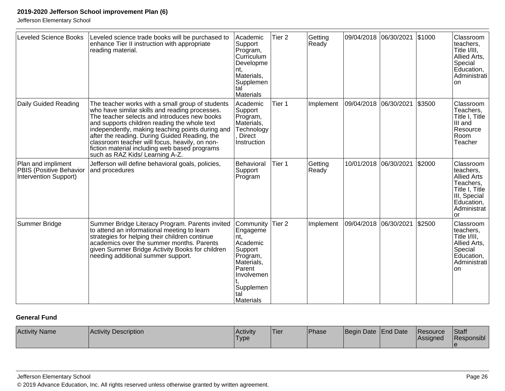Jefferson Elementary School

| <b>Leveled Science Books</b>                                           | Leveled science trade books will be purchased to<br>enhance Tier II instruction with appropriate<br>reading material.                                                                                                                                                                                                                                                                                                                         | Academic<br>Support<br>Program,<br>Curriculum<br>Developme<br>nt.<br>Materials,<br>Supplemen<br>tal<br>Materials                               | Tier <sub>2</sub> | Getting<br>Ready |            | 09/04/2018 06/30/2021 \$1000 |        | Classroom<br>teachers,<br>Title I/III.<br>Allied Arts,<br>Special<br>Education,<br>Administrati<br><b>on</b>                   |
|------------------------------------------------------------------------|-----------------------------------------------------------------------------------------------------------------------------------------------------------------------------------------------------------------------------------------------------------------------------------------------------------------------------------------------------------------------------------------------------------------------------------------------|------------------------------------------------------------------------------------------------------------------------------------------------|-------------------|------------------|------------|------------------------------|--------|--------------------------------------------------------------------------------------------------------------------------------|
| Daily Guided Reading                                                   | The teacher works with a small group of students<br>who have similar skills and reading processes.<br>The teacher selects and introduces new books<br>and supports children reading the whole text<br>independently, making teaching points during and<br>after the reading. During Guided Reading, the<br>classroom teacher will focus, heavily, on non-<br>fiction material including web based programs<br>such as RAZ Kids/ Learning A-Z. | Academic<br>Support<br>Program,<br>Materials,<br>Technology<br><b>Direct</b><br>Instruction                                                    | Tier 1            | Implement        | 09/04/2018 | 06/30/2021                   | \$3500 | Classroom<br>Teachers,<br>Title I, Title<br>III and<br>Resource<br>Room<br>Teacher                                             |
| Plan and impliment<br>PBIS (Positive Behavior<br>Intervention Support) | Jefferson will define behavioral goals, policies,<br>and procedures                                                                                                                                                                                                                                                                                                                                                                           | Behavioral<br>Support<br>Program                                                                                                               | Tier 1            | Getting<br>Ready | 10/01/2018 | 06/30/2021                   | \$2000 | Classroom<br>teachers,<br><b>Allied Arts</b><br>Teachers,<br>Title I, Title<br>III, Special<br>Education,<br>Administrat<br>or |
| Summer Bridge                                                          | Summer Bridge Literacy Program. Parents invited<br>to attend an informational meeting to learn<br>strategies for helping their children continue<br>academics over the summer months. Parents<br>given Summer Bridge Activity Books for children<br>needing additional summer support.                                                                                                                                                        | Community<br>Engageme<br>Int.<br>Academic<br>Support<br>Program,<br>Materials,<br>Parent<br>Involvemen<br>Supplemen<br>tal<br><b>Materials</b> | Tier <sub>2</sub> | Implement        | 09/04/2018 | 06/30/2021                   | \$2500 | Classroom<br>teachers,<br>Title I/III,<br>Allied Arts,<br>Special<br>Education,<br>Administrati<br><b>on</b>                   |

### **General Fund**

| <b>Activity Name</b> | <b>Activity Description</b> | <b>Activity</b><br>$-$<br>Type. | 'Tier | Phase | Begin Date End Date | <b>IResource</b><br><b>Assigned</b> | Staff<br>Responsibl |
|----------------------|-----------------------------|---------------------------------|-------|-------|---------------------|-------------------------------------|---------------------|
|                      |                             |                                 |       |       |                     |                                     |                     |

Jefferson Elementary School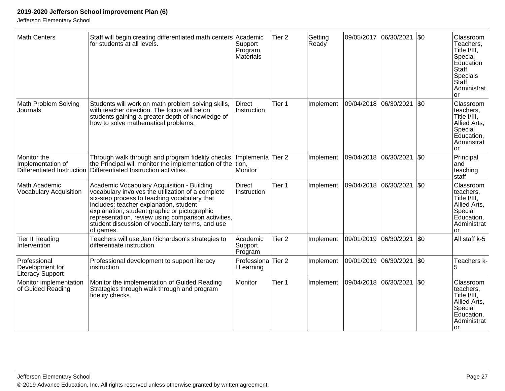| <b>Math Centers</b>                                            | Staff will begin creating differentiated math centers Academic<br>for students at all levels.                                                                                                                                                                                                                                                                    | Support<br>Program,<br>Materials      | Tier <sub>2</sub> | Getting<br>Ready | 09/05/2017            | 06/30/2021 | \$0       | Classroom<br>Teachers,<br>Title I/III,<br>Special<br>Education<br>Staff,<br>Specials<br>Staff,<br>Administrat<br>or |
|----------------------------------------------------------------|------------------------------------------------------------------------------------------------------------------------------------------------------------------------------------------------------------------------------------------------------------------------------------------------------------------------------------------------------------------|---------------------------------------|-------------------|------------------|-----------------------|------------|-----------|---------------------------------------------------------------------------------------------------------------------|
| Math Problem Solving<br>Journals                               | Students will work on math problem solving skills,<br>with teacher direction. The focus will be on<br>students gaining a greater depth of knowledge of<br>how to solve mathematical problems.                                                                                                                                                                    | <b>Direct</b><br>Instruction          | Tier 1            | Implement        | 09/04/2018            | 06/30/2021 | \$0       | Classroom<br>teachers,<br>Title I/III.<br>Allied Arts,<br>Special<br>Education,<br>Adminstrat<br><b>or</b>          |
| Monitor the<br>Implementation of<br>Differentiated Instruction | Through walk through and program fidelity checks,<br>the Principal will monitor the implementation of the<br>Differentiated Instruction activities.                                                                                                                                                                                                              | Implementa Tier 2<br>tion,<br>Monitor |                   | Implement        | 09/04/2018 06/30/2021 |            | <b>SO</b> | Principal<br>and<br>teaching<br>staff                                                                               |
| Math Academic<br><b>Vocabulary Acquisition</b>                 | Academic Vocabulary Acquisition - Building<br>vocabulary involves the utilization of a complete<br>six-step process to teaching vocabulary that<br>includes: teacher explanation, student<br>explanation, student graphic or pictographic<br>representation, review using comparison activities,<br>student discussion of vocabulary terms, and use<br>of games. | <b>Direct</b><br>Instruction          | Tier 1            | Implement        | 09/04/2018 06/30/2021 |            | l\$0      | Classroom<br>teachers.<br>Title I/III,<br>Allied Arts,<br>Special<br>Education,<br>Administrat<br><b>or</b>         |
| <b>Tier II Reading</b><br>Intervention                         | Teachers will use Jan Richardson's strategies to<br>differentiate instruction.                                                                                                                                                                                                                                                                                   | Academic<br>Support<br>Program        | Tier 2            | Implement        | 09/01/2019            | 06/30/2021 | <b>SO</b> | All staff k-5                                                                                                       |
| Professional<br>Development for<br><b>Literacy Support</b>     | Professional development to support literacy<br>instruction.                                                                                                                                                                                                                                                                                                     | Professiona Tier 2<br>I Learning      |                   | Implement        | 09/01/2019 06/30/2021 |            | l\$0      | Teachers k-                                                                                                         |
| Monitor implementation<br>of Guided Reading                    | Monitor the implementation of Guided Reading<br>Strategies through walk through and program<br>fidelity checks.                                                                                                                                                                                                                                                  | Monitor                               | Tier 1            | Implement        | 09/04/2018 06/30/2021 |            | \$0       | Classroom<br>teachers.<br>Title I/III.<br>Allied Arts,<br>Special<br>Education,<br>Administrat<br>lor               |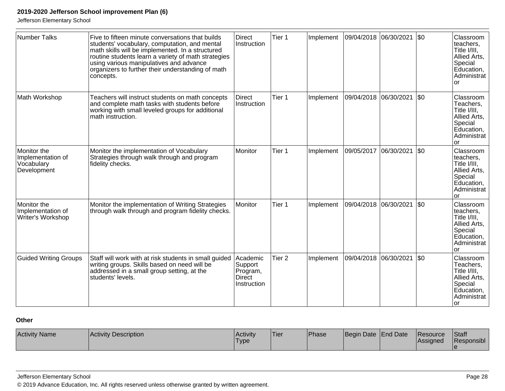Jefferson Elementary School

| Number Talks                                                  | Five to fifteen minute conversations that builds<br>students' vocabulary, computation, and mental<br>math skills will be implemented. In a structured<br>routine students learn a variety of math strategies<br>using various manipulatives and advance<br>organizers to further their understanding of math<br>concepts. | <b>Direct</b><br>Instruction                                    | Tier 1            | Implement |                       | 09/04/2018  06/30/2021 | $ $ \$0 | Classroom<br>teachers,<br>Title I/III.<br>Allied Arts,<br>Special<br>Education,<br>Administrat<br>or  |
|---------------------------------------------------------------|---------------------------------------------------------------------------------------------------------------------------------------------------------------------------------------------------------------------------------------------------------------------------------------------------------------------------|-----------------------------------------------------------------|-------------------|-----------|-----------------------|------------------------|---------|-------------------------------------------------------------------------------------------------------|
| Math Workshop                                                 | Teachers will instruct students on math concepts<br>and complete math tasks with students before<br>working with small leveled groups for additional<br>math instruction.                                                                                                                                                 | <b>Direct</b><br>Instruction                                    | Tier 1            | Implement | 09/04/2018            | 06/30/2021             | \$0     | Classroom<br>Teachers,<br>Title I/III,<br>Allied Arts,<br>Special<br>Education,<br>Administrat<br>or  |
| Monitor the<br>Implementation of<br>Vocabulary<br>Development | Monitor the implementation of Vocabulary<br>Strategies through walk through and program<br>fidelity checks.                                                                                                                                                                                                               | Monitor                                                         | Tier <sub>1</sub> | Implement | 09/05/2017 06/30/2021 |                        | $ $ \$0 | Classroom<br>teachers,<br>Title I/III,<br>Allied Arts,<br>Special<br>Education,<br>Administrat<br>or  |
| Monitor the<br>Implementation of<br>Writer's Workshop         | Monitor the implementation of Writing Strategies<br>through walk through and program fidelity checks.                                                                                                                                                                                                                     | Monitor                                                         | Tier <sub>1</sub> | Implement | 09/04/2018 06/30/2021 |                        | $ $ \$0 | Classroom<br>teachers,<br>Title I/III,<br>Allied Arts,<br>Special<br>Education,<br>Administrat<br>or  |
| <b>Guided Writing Groups</b>                                  | Staff will work with at risk students in small guided<br>writing groups. Skills based on need will be<br>addressed in a small group setting, at the<br>students' levels.                                                                                                                                                  | Academic<br>Support<br>Program,<br><b>Direct</b><br>Instruction | Tier <sub>2</sub> | Implement | 09/04/2018            | 06/30/2021             | \$0     | Classroom<br>Teachers,<br>Title I/III.<br>Allied Arts,<br>Special<br>Education,<br>Administrat<br>lor |

### **Other**

| <b>Activity Name</b><br><b>Activity Description</b> | Activity<br>'Type | 'Tier | Phase | Begin Date End Date |  | <b>IResource</b><br><b>Assigned</b> | Staff<br>Responsibl |
|-----------------------------------------------------|-------------------|-------|-------|---------------------|--|-------------------------------------|---------------------|
|-----------------------------------------------------|-------------------|-------|-------|---------------------|--|-------------------------------------|---------------------|

Jefferson Elementary School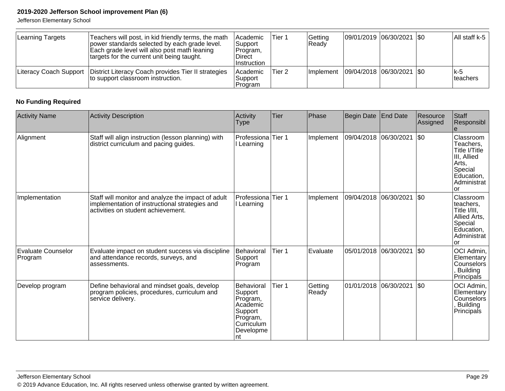Jefferson Elementary School

| Learning Targets | Teachers will post, in kid friendly terms, the math<br>power standards selected by each grade level.<br>Each grade level will also post math leaning<br>targets for the current unit being taught. | Academic<br> Support_<br>Program,<br>Direct<br>Instruction | Tier 1 | Getting<br>Ready | 09/01/2019  06/30/2021  \$0   |  | $\vert$ All staff k-5 $\vert$ |
|------------------|----------------------------------------------------------------------------------------------------------------------------------------------------------------------------------------------------|------------------------------------------------------------|--------|------------------|-------------------------------|--|-------------------------------|
|                  | Literacy Coach Support   District Literacy Coach provides Tier II strategies<br>to support classroom instruction.                                                                                  | <b>Academic</b><br>Support<br>Program                      | Tier 2 | Implement        | $ 09/04/2018 06/30/2021 $ \$0 |  | $ k-5 $<br>Iteachers          |

### **No Funding Required**

| <b>Activity Name</b>          | <b>Activity Description</b>                                                                                                                | Activity<br><b>Type</b>                                                                                | <b>Tier</b>       | Phase            | Begin Date            | <b>End Date</b>       | Resource<br>Assigned | Staff<br>Responsibl                                                                                           |
|-------------------------------|--------------------------------------------------------------------------------------------------------------------------------------------|--------------------------------------------------------------------------------------------------------|-------------------|------------------|-----------------------|-----------------------|----------------------|---------------------------------------------------------------------------------------------------------------|
| Alignment                     | Staff will align instruction (lesson planning) with<br>district curriculum and pacing guides.                                              | Professiona<br>Learning                                                                                | Tier 1            | Implement        |                       | 09/04/2018 06/30/2021 | $ $ \$0              | Classroom<br>Teachers,<br>Title I/Title<br>III, Allied<br>Arts,<br>Special<br>Education,<br>Administrat<br>or |
| Implementation                | Staff will monitor and analyze the impact of adult<br>implementation of instructional strategies and<br>activities on student achievement. | Professiona<br>Learning                                                                                | Tier 1            | Implement        | 09/04/2018 06/30/2021 |                       | $\sqrt{50}$          | Classroom<br>teachers,<br>Title I/III.<br>Allied Arts,<br>Special<br>Education,<br>Administrat<br>Ωr          |
| Evaluate Counselor<br>Program | Evaluate impact on student success via discipline<br>and attendance records, surveys, and<br>assessments.                                  | Behavioral<br>Support<br>Program                                                                       | Tier <sub>1</sub> | Evaluate         | 05/01/2018            | 06/30/2021            | $ $ \$0              | OCI Admin,<br>Elementary<br>Counselors<br><b>Building</b><br><b>Principals</b>                                |
| Develop program               | Define behavioral and mindset goals, develop<br>program policies, procedures, curriculum and<br>service delivery.                          | Behavioral<br>Support<br>Program,<br>Academic<br>Support<br>Program,<br>Curriculum<br>Developme<br>Int | Tier 1            | Getting<br>Ready | 01/01/2018 06/30/2021 |                       | \$0                  | OCI Admin,<br>Elementary<br><b>Counselors</b><br><b>Building</b><br>Principals                                |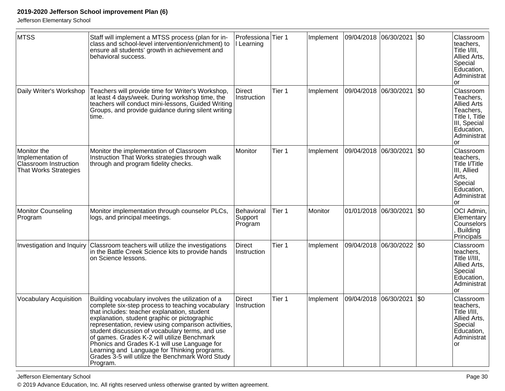Jefferson Elementary School

| <b>MTSS</b>                                                                               | Staff will implement a MTSS process (plan for in-<br>class and school-level intervention/enrichment) to<br>ensure all students' growth in achievement and<br>behavioral success.                                                                                                                                                                                                                                                                                                                                              | Professiona <sup> </sup> Tier 1<br>I Learning |        | Implement | 09/04/2018 06/30/2021 |            | $\sqrt{50}$ | Classroom<br>teachers.<br>Title I/III,<br>Allied Arts,<br>Special<br>Education,<br>Administrat<br><sub>or</sub>                           |
|-------------------------------------------------------------------------------------------|-------------------------------------------------------------------------------------------------------------------------------------------------------------------------------------------------------------------------------------------------------------------------------------------------------------------------------------------------------------------------------------------------------------------------------------------------------------------------------------------------------------------------------|-----------------------------------------------|--------|-----------|-----------------------|------------|-------------|-------------------------------------------------------------------------------------------------------------------------------------------|
| Daily Writer's Workshop                                                                   | Teachers will provide time for Writer's Workshop,<br>at least 4 days/week. During workshop time, the<br>teachers will conduct mini-lessons, Guided Writing<br>Groups, and provide guidance during silent writing<br>time.                                                                                                                                                                                                                                                                                                     | <b>Direct</b><br>Instruction                  | Tier 1 | Implement | 09/04/2018 06/30/2021 |            | l\$0        | Classroom<br>Teachers,<br><b>Allied Arts</b><br>Teachers,<br>Title I, Title<br>III, Special<br>Education,<br>Administrat<br><sub>or</sub> |
| Monitor the<br>Implementation of<br>Classroom Instruction<br><b>That Works Strategies</b> | Monitor the implementation of Classroom<br>Instruction That Works strategies through walk<br>through and program fidelity checks.                                                                                                                                                                                                                                                                                                                                                                                             | Monitor                                       | Tier 1 | Implement | 09/04/2018            | 06/30/2021 | \$0         | Classroom<br>teachers.<br>Title I/Title<br>III, Allied<br>Arts,<br>Special<br>Education,<br>Administrat<br><b>or</b>                      |
| <b>Monitor Counseling</b><br>Program                                                      | Monitor implementation through counselor PLCs,<br>logs, and principal meetings.                                                                                                                                                                                                                                                                                                                                                                                                                                               | Behavioral<br>Support<br>Program              | Tier 1 | Monitor   | 01/01/2018            | 06/30/2021 | \$0         | OCI Admin,<br>Elementary<br>Counselors<br><b>Building</b><br>Principals                                                                   |
| Investigation and Inquiry                                                                 | Classroom teachers will utilize the investigations<br>in the Battle Creek Science kits to provide hands<br>on Science lessons.                                                                                                                                                                                                                                                                                                                                                                                                | <b>Direct</b><br>Instruction                  | Tier 1 | Implement | 09/04/2018            | 06/30/2022 | \$0         | Classroom<br>teachers,<br>Title I//III,<br>Allied Arts,<br>Special<br>Education,<br>Administrat<br>or                                     |
| <b>Vocabulary Acquisition</b>                                                             | Building vocabulary involves the utilization of a<br>complete six-step process to teaching vocabulary<br>that includes: teacher explanation, student<br>explanation, student graphic or pictographic<br>representation, review using comparison activities,<br>student discussion of vocabulary terms, and use<br>of games. Grades K-2 will utilize Benchmark<br>Phonics and Grades K-1 will use Language for<br>Learning and Language for Thinking programs.<br>Grades 3-5 will utilize the Benchmark Word Study<br>Program. | Direct<br>Instruction                         | Tier 1 | Implement | 09/04/2018            | 06/30/2021 | \$0         | Classroom<br>teachers,<br>Title I/III,<br>Allied Arts,<br>Special<br>Education,<br>Administrat<br><b>or</b>                               |

Jefferson Elementary School